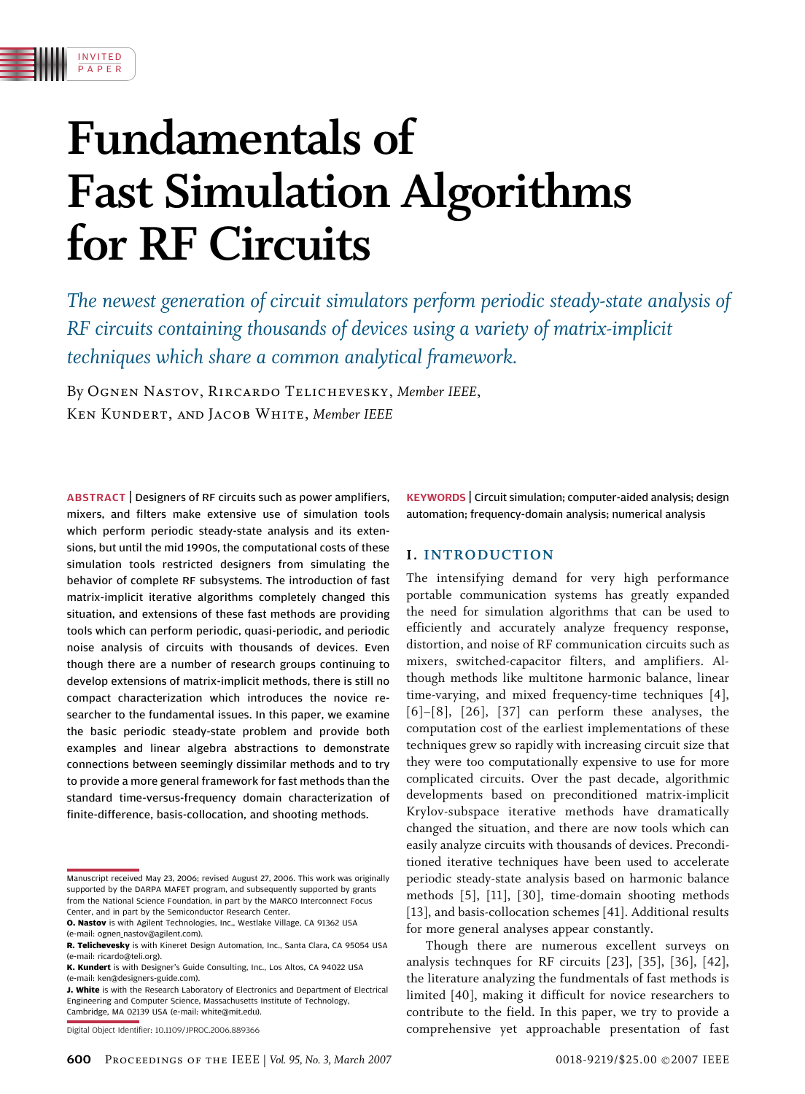

The newest generation of circuit simulators perform periodic steady-state analysis of RF circuits containing thousands of devices using a variety of matrix-implicit techniques which share a common analytical framework.

By Ognen Nastov, Rircardo Telichevesky, Member IEEE, Ken Kundert, and Jacob White, Member IEEE

IN VI T E D P A P E R

ABSTRACT | Designers of RF circuits such as power amplifiers, mixers, and filters make extensive use of simulation tools which perform periodic steady-state analysis and its extensions, but until the mid 1990s, the computational costs of these simulation tools restricted designers from simulating the behavior of complete RF subsystems. The introduction of fast matrix-implicit iterative algorithms completely changed this situation, and extensions of these fast methods are providing tools which can perform periodic, quasi-periodic, and periodic noise analysis of circuits with thousands of devices. Even though there are a number of research groups continuing to develop extensions of matrix-implicit methods, there is still no compact characterization which introduces the novice researcher to the fundamental issues. In this paper, we examine the basic periodic steady-state problem and provide both examples and linear algebra abstractions to demonstrate connections between seemingly dissimilar methods and to try to provide a more general framework for fast methods than the standard time-versus-frequency domain characterization of finite-difference, basis-collocation, and shooting methods.

Digital Object Identifier: 10.1109/JPROC.2006.889366

KEYWORDS | Circuit simulation; computer-aided analysis; design automation; frequency-domain analysis; numerical analysis

# I. INTRODUCTION

The intensifying demand for very high performance portable communication systems has greatly expanded the need for simulation algorithms that can be used to efficiently and accurately analyze frequency response, distortion, and noise of RF communication circuits such as mixers, switched-capacitor filters, and amplifiers. Although methods like multitone harmonic balance, linear time-varying, and mixed frequency-time techniques [4], [6]–[8], [26], [37] can perform these analyses, the computation cost of the earliest implementations of these techniques grew so rapidly with increasing circuit size that they were too computationally expensive to use for more complicated circuits. Over the past decade, algorithmic developments based on preconditioned matrix-implicit Krylov-subspace iterative methods have dramatically changed the situation, and there are now tools which can easily analyze circuits with thousands of devices. Preconditioned iterative techniques have been used to accelerate periodic steady-state analysis based on harmonic balance methods [5], [11], [30], time-domain shooting methods [13], and basis-collocation schemes [41]. Additional results for more general analyses appear constantly.

Though there are numerous excellent surveys on analysis technques for RF circuits [23], [35], [36], [42], the literature analyzing the fundmentals of fast methods is limited [40], making it difficult for novice researchers to contribute to the field. In this paper, we try to provide a comprehensive yet approachable presentation of fast

Manuscript received May 23, 2006; revised August 27, 2006. This work was originally supported by the DARPA MAFET program, and subsequently supported by grants from the National Science Foundation, in part by the MARCO Interconnect Focus Center, and in part by the Semiconductor Research Center.

O. Nastov is with Agilent Technologies, Inc., Westlake Village, CA 91362 USA (e-mail: ognen\_nastov@agilent.com).

R. Telichevesky is with Kineret Design Automation, Inc., Santa Clara, CA 95054 USA (e-mail: ricardo@teli.org).

K. Kundert is with Designer's Guide Consulting, Inc., Los Altos, CA 94022 USA (e-mail: ken@designers-guide.com).

J. White is with the Research Laboratory of Electronics and Department of Electrical Engineering and Computer Science, Massachusetts Institute of Technology, Cambridge, MA 02139 USA (e-mail: white@mit.edu).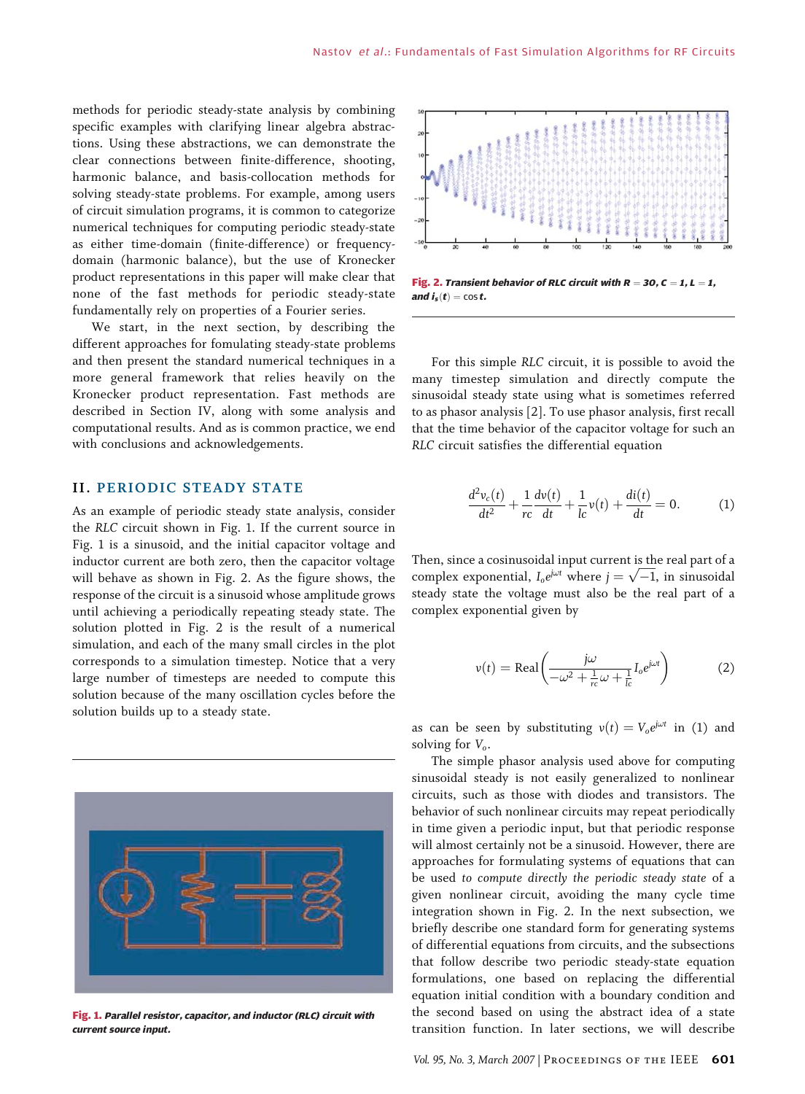methods for periodic steady-state analysis by combining specific examples with clarifying linear algebra abstractions. Using these abstractions, we can demonstrate the clear connections between finite-difference, shooting, harmonic balance, and basis-collocation methods for solving steady-state problems. For example, among users of circuit simulation programs, it is common to categorize numerical techniques for computing periodic steady-state as either time-domain (finite-difference) or frequencydomain (harmonic balance), but the use of Kronecker product representations in this paper will make clear that none of the fast methods for periodic steady-state fundamentally rely on properties of a Fourier series.

We start, in the next section, by describing the different approaches for fomulating steady-state problems and then present the standard numerical techniques in a more general framework that relies heavily on the Kronecker product representation. Fast methods are described in Section IV, along with some analysis and computational results. And as is common practice, we end with conclusions and acknowledgements.

# **II. PERIODIC STEADY STATE**

As an example of periodic steady state analysis, consider the RLC circuit shown in Fig. 1. If the current source in Fig. 1 is a sinusoid, and the initial capacitor voltage and inductor current are both zero, then the capacitor voltage will behave as shown in Fig. 2. As the figure shows, the response of the circuit is a sinusoid whose amplitude grows until achieving a periodically repeating steady state. The solution plotted in Fig. 2 is the result of a numerical simulation, and each of the many small circles in the plot corresponds to a simulation timestep. Notice that a very large number of timesteps are needed to compute this solution because of the many oscillation cycles before the solution builds up to a steady state.



Fig. 1. Parallel resistor, capacitor, and inductor (RLC) circuit with current source input.



Fig. 2. Transient behavior of RLC circuit with  $R = 30$ ,  $C = 1$ ,  $L = 1$ , and  $\mathbf{i}_{s}(t) = \cos t$ .

For this simple RLC circuit, it is possible to avoid the many timestep simulation and directly compute the sinusoidal steady state using what is sometimes referred to as phasor analysis [2]. To use phasor analysis, first recall that the time behavior of the capacitor voltage for such an RLC circuit satisfies the differential equation

$$
\frac{d^2v_c(t)}{dt^2} + \frac{1}{rc}\frac{dv(t)}{dt} + \frac{1}{lc}v(t) + \frac{di(t)}{dt} = 0.
$$
 (1)

Then, since a cosinusoidal input current is the real part of a complex exponential,  $I_0 e^{j\omega t}$  where  $j = \sqrt{-1}$ , in sinusoidal steady state the voltage must also be the real part of a complex exponential given by

$$
v(t) = \text{Real}\left(\frac{j\omega}{-\omega^2 + \frac{1}{rc}\omega + \frac{1}{lc}I_0e^{j\omega t}}\right)
$$
 (2)

as can be seen by substituting  $v(t) = V_0 e^{j\omega t}$  in (1) and solving for  $V_0$ .

The simple phasor analysis used above for computing sinusoidal steady is not easily generalized to nonlinear circuits, such as those with diodes and transistors. The behavior of such nonlinear circuits may repeat periodically in time given a periodic input, but that periodic response will almost certainly not be a sinusoid. However, there are approaches for formulating systems of equations that can be used to compute directly the periodic steady state of a given nonlinear circuit, avoiding the many cycle time integration shown in Fig. 2. In the next subsection, we briefly describe one standard form for generating systems of differential equations from circuits, and the subsections that follow describe two periodic steady-state equation formulations, one based on replacing the differential equation initial condition with a boundary condition and the second based on using the abstract idea of a state transition function. In later sections, we will describe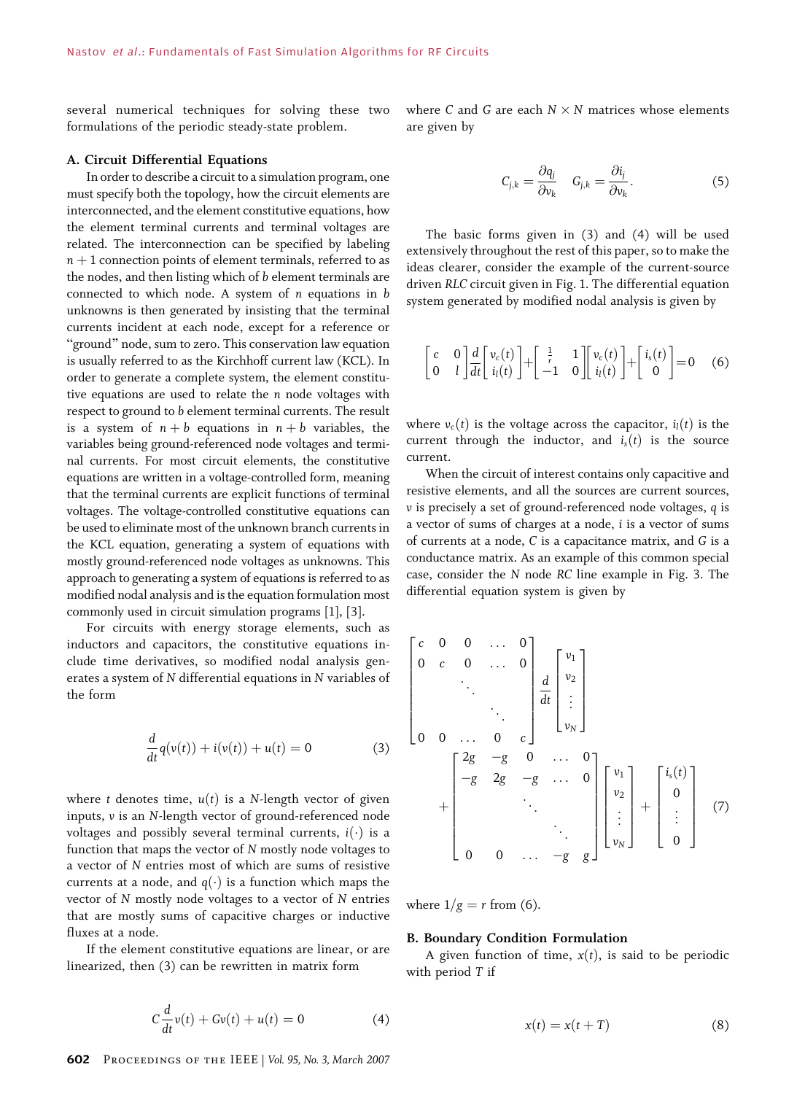several numerical techniques for solving these two formulations of the periodic steady-state problem.

## A. Circuit Differential Equations

In order to describe a circuit to a simulation program, one must specify both the topology, how the circuit elements are interconnected, and the element constitutive equations, how the element terminal currents and terminal voltages are related. The interconnection can be specified by labeling  $n + 1$  connection points of element terminals, referred to as the nodes, and then listing which of b element terminals are connected to which node. A system of  $n$  equations in  $b$ unknowns is then generated by insisting that the terminal currents incident at each node, except for a reference or "ground" node, sum to zero. This conservation law equation is usually referred to as the Kirchhoff current law (KCL). In order to generate a complete system, the element constitutive equations are used to relate the n node voltages with respect to ground to b element terminal currents. The result is a system of  $n + b$  equations in  $n + b$  variables, the variables being ground-referenced node voltages and terminal currents. For most circuit elements, the constitutive equations are written in a voltage-controlled form, meaning that the terminal currents are explicit functions of terminal voltages. The voltage-controlled constitutive equations can be used to eliminate most of the unknown branch currents in the KCL equation, generating a system of equations with mostly ground-referenced node voltages as unknowns. This approach to generating a system of equations is referred to as modified nodal analysis and is the equation formulation most commonly used in circuit simulation programs [1], [3].

For circuits with energy storage elements, such as inductors and capacitors, the constitutive equations include time derivatives, so modified nodal analysis generates a system of N differential equations in N variables of the form

$$
\frac{d}{dt}q(v(t)) + i(v(t)) + u(t) = 0
$$
\n(3)

where t denotes time,  $u(t)$  is a N-length vector of given inputs, v is an N-length vector of ground-referenced node voltages and possibly several terminal currents,  $i(\cdot)$  is a function that maps the vector of N mostly node voltages to a vector of N entries most of which are sums of resistive currents at a node, and  $q(\cdot)$  is a function which maps the vector of N mostly node voltages to a vector of N entries that are mostly sums of capacitive charges or inductive fluxes at a node.

If the element constitutive equations are linear, or are linearized, then (3) can be rewritten in matrix form

$$
C\frac{d}{dt}v(t) + Gv(t) + u(t) = 0
$$
\n(4)

where C and G are each  $N \times N$  matrices whose elements are given by

$$
C_{j,k} = \frac{\partial q_j}{\partial v_k} \quad G_{j,k} = \frac{\partial i_j}{\partial v_k}.
$$
 (5)

The basic forms given in (3) and (4) will be used extensively throughout the rest of this paper, so to make the ideas clearer, consider the example of the current-source driven RLC circuit given in Fig. 1. The differential equation system generated by modified nodal analysis is given by

$$
\begin{bmatrix} c & 0 \ 0 & 1 \end{bmatrix} \frac{d}{dt} \begin{bmatrix} v_c(t) \\ i_l(t) \end{bmatrix} + \begin{bmatrix} \frac{1}{r} & 1 \\ -1 & 0 \end{bmatrix} \begin{bmatrix} v_c(t) \\ i_l(t) \end{bmatrix} + \begin{bmatrix} i_s(t) \\ 0 \end{bmatrix} = 0 \quad (6)
$$

where  $v_c(t)$  is the voltage across the capacitor,  $i_l(t)$  is the current through the inductor, and  $i_s(t)$  is the source current.

When the circuit of interest contains only capacitive and resistive elements, and all the sources are current sources, v is precisely a set of ground-referenced node voltages, q is a vector of sums of charges at a node, i is a vector of sums of currents at a node, C is a capacitance matrix, and G is a conductance matrix. As an example of this common special case, consider the N node RC line example in Fig. 3. The differential equation system is given by

$$
\begin{bmatrix} c & 0 & 0 & \cdots & 0 \\ 0 & c & 0 & \cdots & 0 \\ & & \ddots & & \\ 0 & 0 & \cdots & 0 & c \end{bmatrix} \frac{d}{dt} \begin{bmatrix} v_1 \\ v_2 \\ \vdots \\ v_N \end{bmatrix}
$$
  
+ 
$$
\begin{bmatrix} 2g & -g & 0 & \cdots & 0 \\ -g & 2g & -g & \cdots & 0 \\ & & \ddots & & \\ & & & \ddots & \\ 0 & 0 & \cdots & -g & g \end{bmatrix} \begin{bmatrix} v_1 \\ v_2 \\ \vdots \\ v_N \end{bmatrix} + \begin{bmatrix} i_s(t) \\ 0 \\ \vdots \\ 0 \end{bmatrix}
$$
 (7)

where  $1/g = r$  from (6).

### B. Boundary Condition Formulation

A given function of time,  $x(t)$ , is said to be periodic with period T if

$$
x(t) = x(t+T) \tag{8}
$$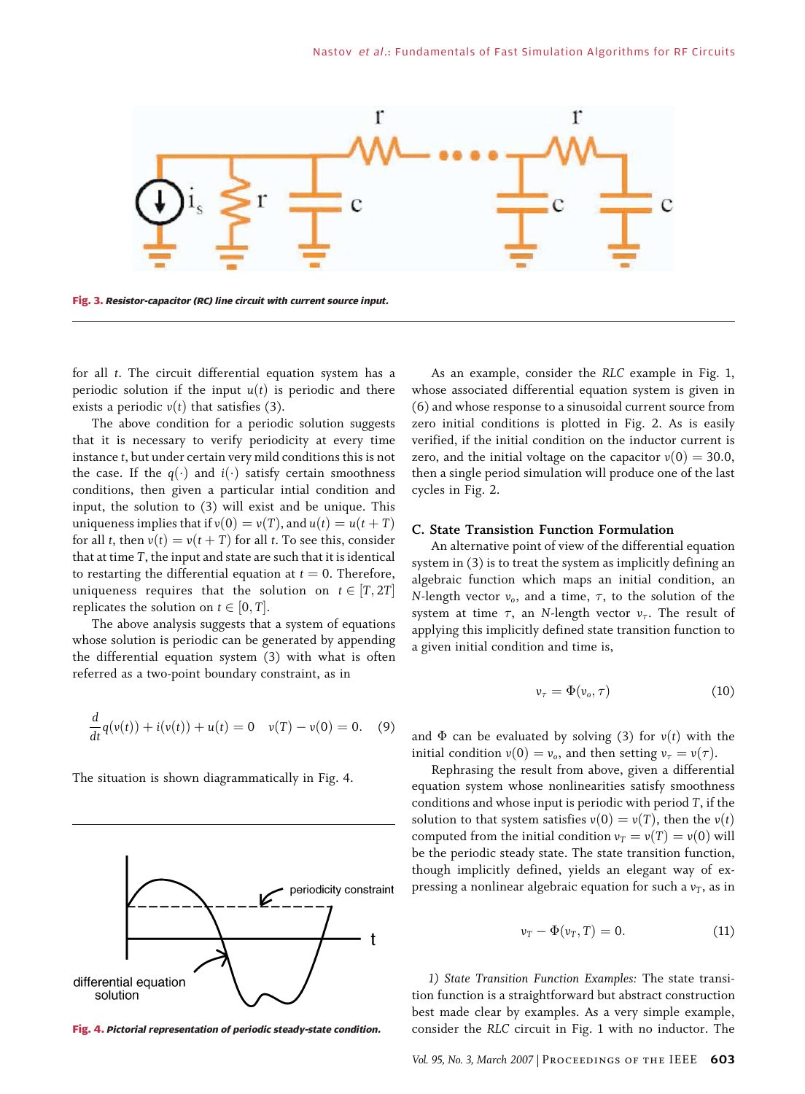

for all t. The circuit differential equation system has a periodic solution if the input  $u(t)$  is periodic and there exists a periodic  $v(t)$  that satisfies (3).

The above condition for a periodic solution suggests that it is necessary to verify periodicity at every time instance t, but under certain very mild conditions this is not the case. If the  $q(\cdot)$  and  $i(\cdot)$  satisfy certain smoothness conditions, then given a particular intial condition and input, the solution to (3) will exist and be unique. This uniqueness implies that if  $v(0) = v(T)$ , and  $u(t) = u(t+T)$ for all t, then  $v(t) = v(t+T)$  for all t. To see this, consider that at time T, the input and state are such that it is identical to restarting the differential equation at  $t = 0$ . Therefore, uniqueness requires that the solution on  $t \in [T, 2T]$ replicates the solution on  $t \in [0, T]$ .

The above analysis suggests that a system of equations whose solution is periodic can be generated by appending the differential equation system (3) with what is often referred as a two-point boundary constraint, as in

$$
\frac{d}{dt}q(v(t)) + i(v(t)) + u(t) = 0 \quad v(T) - v(0) = 0. \quad (9)
$$

The situation is shown diagrammatically in Fig. 4.



As an example, consider the RLC example in Fig. 1, whose associated differential equation system is given in (6) and whose response to a sinusoidal current source from zero initial conditions is plotted in Fig. 2. As is easily verified, if the initial condition on the inductor current is zero, and the initial voltage on the capacitor  $v(0) = 30.0$ , then a single period simulation will produce one of the last cycles in Fig. 2.

### C. State Transistion Function Formulation

An alternative point of view of the differential equation system in (3) is to treat the system as implicitly defining an algebraic function which maps an initial condition, an N-length vector  $v_0$ , and a time,  $\tau$ , to the solution of the system at time  $\tau$ , an N-length vector  $v_{\tau}$ . The result of applying this implicitly defined state transition function to a given initial condition and time is,

$$
\nu_{\tau} = \Phi(\nu_o, \tau) \tag{10}
$$

and  $\Phi$  can be evaluated by solving (3) for  $v(t)$  with the initial condition  $v(0) = v_o$ , and then setting  $v_\tau = v(\tau)$ .

Rephrasing the result from above, given a differential equation system whose nonlinearities satisfy smoothness conditions and whose input is periodic with period T, if the solution to that system satisfies  $v(0) = v(T)$ , then the  $v(t)$ computed from the initial condition  $v_T = v(T) = v(0)$  will be the periodic steady state. The state transition function, though implicitly defined, yields an elegant way of expressing a nonlinear algebraic equation for such a  $v_T$ , as in

$$
\nu_T - \Phi(\nu_T, T) = 0. \tag{11}
$$

1) State Transition Function Examples: The state transition function is a straightforward but abstract construction best made clear by examples. As a very simple example, Fig. 4. Pictorial representation of periodic steady-state condition. consider the RLC circuit in Fig. 1 with no inductor. The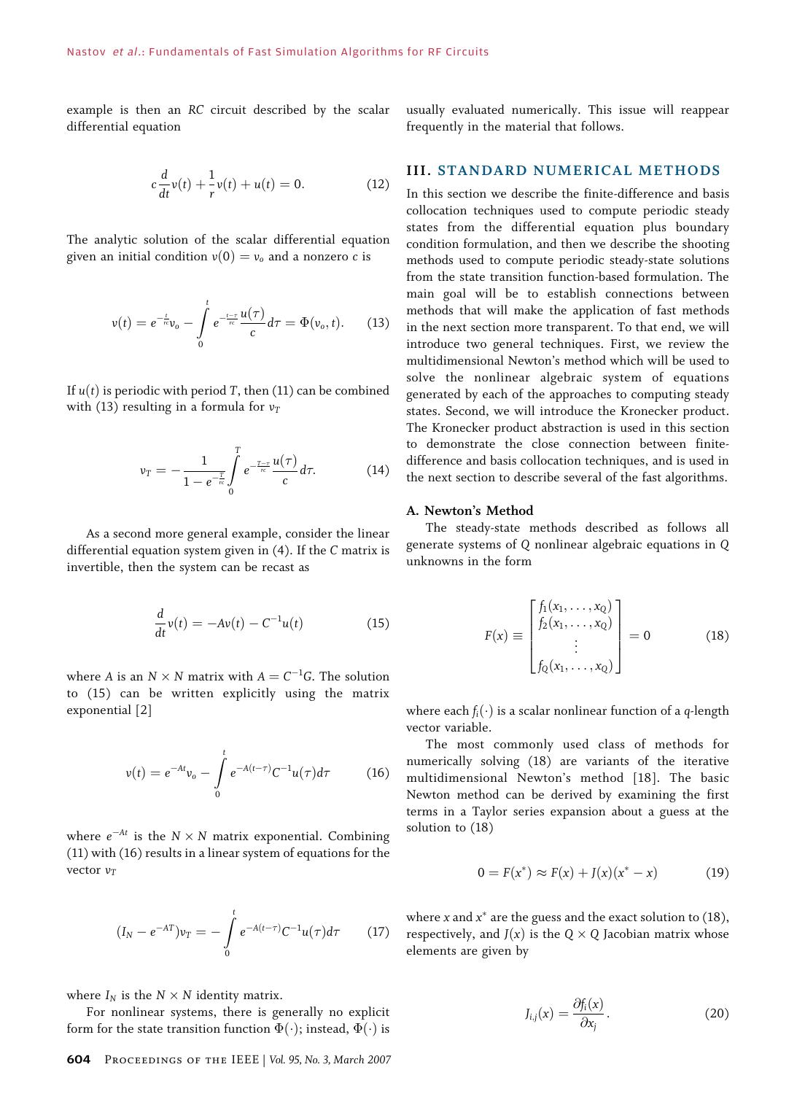example is then an RC circuit described by the scalar differential equation

$$
c\frac{d}{dt}v(t) + \frac{1}{r}v(t) + u(t) = 0.
$$
 (12)

The analytic solution of the scalar differential equation given an initial condition  $v(0) = v_0$  and a nonzero c is

$$
v(t) = e^{-\frac{t}{r c}} v_0 - \int\limits_0^t e^{-\frac{t-\tau}{r c}} \frac{u(\tau)}{c} d\tau = \Phi(v_0, t).
$$
 (13)

If  $u(t)$  is periodic with period T, then (11) can be combined with (13) resulting in a formula for  $v_T$ 

$$
v_T = -\frac{1}{1 - e^{-\frac{T}{\kappa}}} \int_{0}^{T} e^{-\frac{T-\tau}{\kappa}} \frac{u(\tau)}{c} d\tau.
$$
 (14)

As a second more general example, consider the linear differential equation system given in (4). If the C matrix is invertible, then the system can be recast as

$$
\frac{d}{dt}v(t) = -Av(t) - C^{-1}u(t)
$$
\n(15)

where A is an  $N \times N$  matrix with  $A = C^{-1}G$ . The solution to (15) can be written explicitly using the matrix exponential [2]

$$
v(t) = e^{-At}v_0 - \int_0^t e^{-A(t-\tau)} C^{-1} u(\tau) d\tau
$$
 (16)

where  $e^{-At}$  is the  $N \times N$  matrix exponential. Combining (11) with (16) results in a linear system of equations for the vector  $v_T$ 

$$
(I_N - e^{-AT})v_T = -\int_0^t e^{-A(t-\tau)} C^{-1} u(\tau) d\tau \qquad (17)
$$

where  $I_N$  is the  $N \times N$  identity matrix.

For nonlinear systems, there is generally no explicit form for the state transition function  $\Phi(\cdot)$ ; instead,  $\Phi(\cdot)$  is

methods that will make the application of fast methods

in the next section more transparent. To that end, we will introduce two general techniques. First, we review the multidimensional Newton's method which will be used to solve the nonlinear algebraic system of equations generated by each of the approaches to computing steady states. Second, we will introduce the Kronecker product. The Kronecker product abstraction is used in this section to demonstrate the close connection between finitedifference and basis collocation techniques, and is used in the next section to describe several of the fast algorithms.

usually evaluated numerically. This issue will reappear

**III. STANDARD NUMERICAL METHODS** In this section we describe the finite-difference and basis collocation techniques used to compute periodic steady states from the differential equation plus boundary condition formulation, and then we describe the shooting methods used to compute periodic steady-state solutions from the state transition function-based formulation. The main goal will be to establish connections between

frequently in the material that follows.

### A. Newton's Method

The steady-state methods described as follows all generate systems of Q nonlinear algebraic equations in Q unknowns in the form

$$
F(x) \equiv \begin{bmatrix} f_1(x_1, \dots, x_Q) \\ f_2(x_1, \dots, x_Q) \\ \vdots \\ f_Q(x_1, \dots, x_Q) \end{bmatrix} = 0
$$
 (18)

where each  $f_i(\cdot)$  is a scalar nonlinear function of a q-length vector variable.

The most commonly used class of methods for numerically solving (18) are variants of the iterative multidimensional Newton's method [18]. The basic Newton method can be derived by examining the first terms in a Taylor series expansion about a guess at the solution to (18)

$$
0 = F(x^*) \approx F(x) + J(x)(x^* - x)
$$
 (19)

where x and  $x^*$  are the guess and the exact solution to (18), respectively, and  $J(x)$  is the Q  $\times$  Q Jacobian matrix whose elements are given by

$$
J_{i,j}(x) = \frac{\partial f_i(x)}{\partial x_j}.
$$
 (20)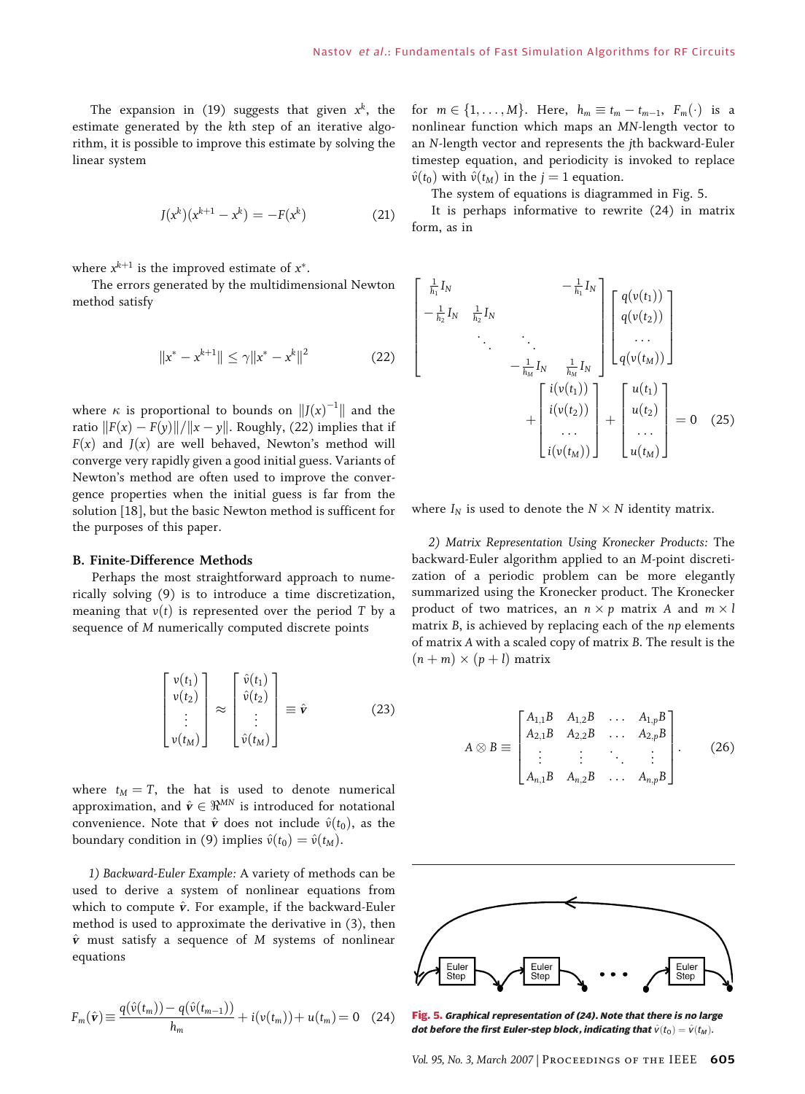The expansion in (19) suggests that given  $x^k$ , the estimate generated by the kth step of an iterative algorithm, it is possible to improve this estimate by solving the linear system

$$
J(x^{k})(x^{k+1} - x^{k}) = -F(x^{k})
$$
 (21)

where  $x^{k+1}$  is the improved estimate of  $x^*$ .

The errors generated by the multidimensional Newton method satisfy

$$
||x^* - x^{k+1}|| \le \gamma ||x^* - x^k||^2 \tag{22}
$$

where  $\kappa$  is proportional to bounds on  $||J(x)^{-1}||$  and the ratio  $||F(x) - F(y)||/||x - y||$ . Roughly, (22) implies that if  $F(x)$  and  $J(x)$  are well behaved, Newton's method will converge very rapidly given a good initial guess. Variants of Newton's method are often used to improve the convergence properties when the initial guess is far from the solution [18], but the basic Newton method is sufficent for the purposes of this paper.

#### B. Finite-Difference Methods

Perhaps the most straightforward approach to numerically solving (9) is to introduce a time discretization, meaning that  $v(t)$  is represented over the period T by a sequence of M numerically computed discrete points

$$
\begin{bmatrix}\nv(t_1) \\
v(t_2) \\
\vdots \\
v(t_M)\n\end{bmatrix} \approx \begin{bmatrix}\n\hat{v}(t_1) \\
\hat{v}(t_2) \\
\vdots \\
\hat{v}(t_M)\n\end{bmatrix} \equiv \hat{\mathbf{v}} \tag{23}
$$

where  $t_M = T$ , the hat is used to denote numerical approximation, and  $\hat{\mathbf{v}} \in \mathbb{R}^{MN}$  is introduced for notational convenience. Note that  $\hat{\mathbf{v}}$  does not include  $\hat{v}(t_0)$ , as the boundary condition in (9) implies  $\hat{v}(t_0) = \hat{v}(t_M)$ .

1) Backward-Euler Example: A variety of methods can be used to derive a system of nonlinear equations from which to compute  $\hat{v}$ . For example, if the backward-Euler method is used to approximate the derivative in (3), then  $\hat{v}$  must satisfy a sequence of M systems of nonlinear equations

$$
F_m(\hat{\mathbf{v}}) \equiv \frac{q(\hat{v}(t_m)) - q(\hat{v}(t_{m-1}))}{h_m} + i(v(t_m)) + u(t_m) = 0 \quad (24)
$$

for  $m \in \{1, \ldots, M\}$ . Here,  $h_m \equiv t_m - t_{m-1}$ ,  $F_m(\cdot)$  is a nonlinear function which maps an MN-length vector to an N-length vector and represents the jth backward-Euler timestep equation, and periodicity is invoked to replace  $\hat{v}(t_0)$  with  $\hat{v}(t_M)$  in the  $j = 1$  equation.

The system of equations is diagrammed in Fig. 5.

It is perhaps informative to rewrite (24) in matrix form, as in

$$
\begin{bmatrix}\n\frac{1}{h_1}I_N & -\frac{1}{h_1}I_N \\
-\frac{1}{h_2}I_N & \frac{1}{h_2}I_N \\
& \ddots & \ddots \\
& & -\frac{1}{h_M}I_N & \frac{1}{h_M}I_N \\
& & & \ddots\n\end{bmatrix}\n\begin{bmatrix}\nq(v(t_1)) \\
q(v(t_2)) \\
\vdots \\
q(v(t_M))\n\end{bmatrix}
$$
\n
$$
+\n\begin{bmatrix}\n i(v(t_1)) \\
 i(v(t_2)) \\
\vdots \\
 i(v(t_M))\n\end{bmatrix} +\n\begin{bmatrix}\nu(t_1) \\
u(t_2) \\
\vdots \\
u(t_M)\n\end{bmatrix} = 0 \quad (25)
$$

where  $I_N$  is used to denote the  $N \times N$  identity matrix.

2) Matrix Representation Using Kronecker Products: The backward-Euler algorithm applied to an M-point discretization of a periodic problem can be more elegantly summarized using the Kronecker product. The Kronecker product of two matrices, an  $n \times p$  matrix A and  $m \times l$ matrix B, is achieved by replacing each of the np elements of matrix A with a scaled copy of matrix B. The result is the  $(n+m) \times (p+l)$  matrix

$$
A \otimes B \equiv \begin{bmatrix} A_{1,1}B & A_{1,2}B & \dots & A_{1,p}B \\ A_{2,1}B & A_{2,2}B & \dots & A_{2,p}B \\ \vdots & \vdots & \ddots & \vdots \\ A_{n,1}B & A_{n,2}B & \dots & A_{n,p}B \end{bmatrix} .
$$
 (26)



Fig. 5. Graphical representation of (24). Note that there is no large dot before the first Euler-step block, indicating that  $\hat{v}(t_0)=\hat{v}(t_M)$ .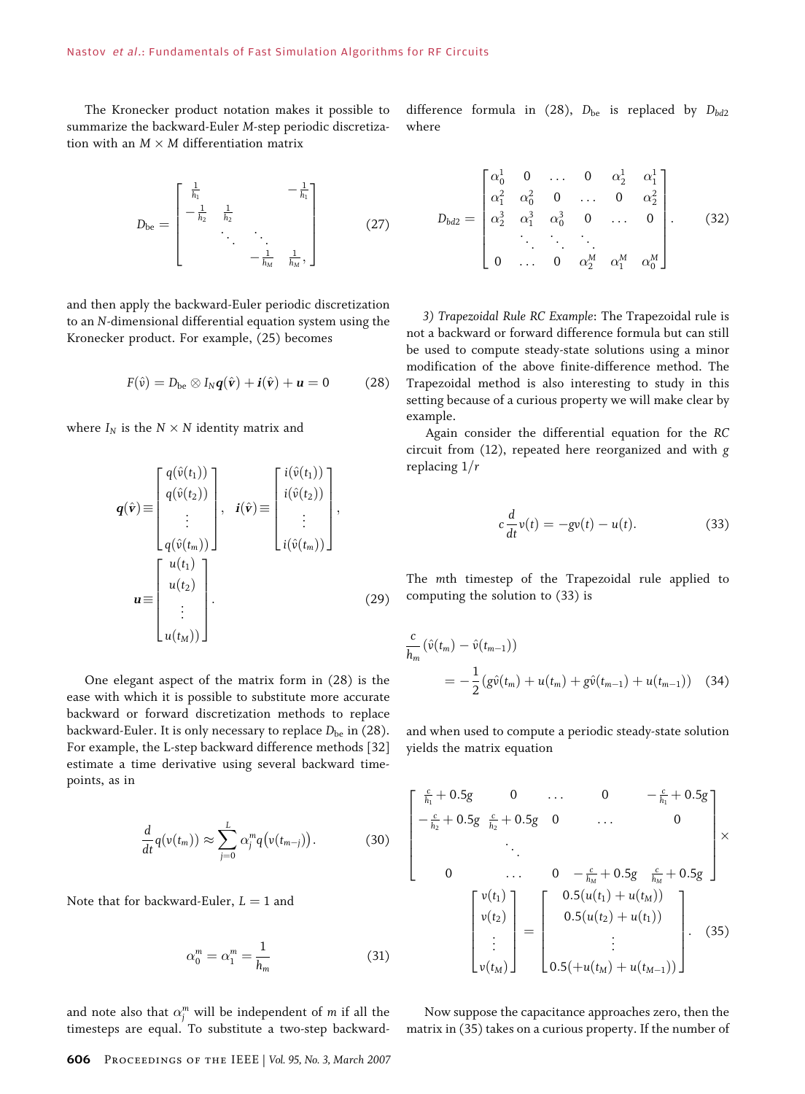The Kronecker product notation makes it possible to summarize the backward-Euler M-step periodic discretization with an  $M \times M$  differentiation matrix

$$
D_{\text{be}} = \begin{bmatrix} \frac{1}{h_1} & & -\frac{1}{h_1} \\ -\frac{1}{h_2} & \frac{1}{h_2} & & \\ & \ddots & \ddots & \\ & & -\frac{1}{h_M} & \frac{1}{h_M}, \end{bmatrix} \tag{27}
$$

and then apply the backward-Euler periodic discretization to an N-dimensional differential equation system using the Kronecker product. For example, (25) becomes

$$
F(\hat{v}) = D_{be} \otimes I_N \mathbf{q}(\hat{\mathbf{v}}) + \mathbf{i}(\hat{\mathbf{v}}) + \mathbf{u} = 0 \tag{28}
$$

where  $I_N$  is the  $N \times N$  identity matrix and

$$
\mathbf{q}(\hat{\mathbf{v}}) \equiv \begin{bmatrix} q(\hat{v}(t_1)) \\ q(\hat{v}(t_2)) \\ \vdots \\ q(\hat{v}(t_m)) \end{bmatrix}, \quad \mathbf{i}(\hat{\mathbf{v}}) \equiv \begin{bmatrix} i(\hat{v}(t_1)) \\ i(\hat{v}(t_2)) \\ \vdots \\ i(\hat{v}(t_m)) \end{bmatrix},
$$
\n
$$
\mathbf{u} \equiv \begin{bmatrix} u(t_1) \\ u(t_2) \\ \vdots \\ u(t_M) \end{bmatrix}.
$$
\n(29)

One elegant aspect of the matrix form in (28) is the ease with which it is possible to substitute more accurate backward or forward discretization methods to replace backward-Euler. It is only necessary to replace  $D_{be}$  in (28). For example, the L-step backward difference methods [32] estimate a time derivative using several backward timepoints, as in

$$
\frac{d}{dt}q(v(t_m)) \approx \sum_{j=0}^{L} \alpha_j^m q(v(t_{m-j})).
$$
\n(30)

Note that for backward-Euler,  $L = 1$  and

$$
\alpha_0^m = \alpha_1^m = \frac{1}{h_m} \tag{31}
$$

and note also that  $\alpha_j^m$  will be independent of m if all the timesteps are equal. To substitute a two-step backward-

606 Proceedings of the IEEE | Vol. 95, No. 3, March 2007

difference formula in (28),  $D_{be}$  is replaced by  $D_{bd2}$ where

$$
D_{bd2} = \begin{bmatrix} \alpha_0^1 & 0 & \dots & 0 & \alpha_2^1 & \alpha_1^1 \\ \alpha_1^2 & \alpha_0^2 & 0 & \dots & 0 & \alpha_2^2 \\ \alpha_2^3 & \alpha_1^3 & \alpha_0^3 & 0 & \dots & 0 \\ \vdots & \vdots & \vdots & \ddots & \vdots \\ 0 & \dots & 0 & \alpha_2^M & \alpha_1^M & \alpha_0^M \end{bmatrix} .
$$
 (32)

3) Trapezoidal Rule RC Example: The Trapezoidal rule is not a backward or forward difference formula but can still be used to compute steady-state solutions using a minor modification of the above finite-difference method. The Trapezoidal method is also interesting to study in this setting because of a curious property we will make clear by example.

Again consider the differential equation for the RC circuit from (12), repeated here reorganized and with g replacing  $1/r$ 

$$
c\frac{d}{dt}v(t) = -gv(t) - u(t).
$$
 (33)

The mth timestep of the Trapezoidal rule applied to computing the solution to (33) is

$$
\frac{c}{h_m}(\hat{v}(t_m) - \hat{v}(t_{m-1}))
$$
\n
$$
= -\frac{1}{2}(g\hat{v}(t_m) + u(t_m) + g\hat{v}(t_{m-1}) + u(t_{m-1}))
$$
\n(34)

and when used to compute a periodic steady-state solution yields the matrix equation

$$
\begin{bmatrix}\n\frac{c}{h_1} + 0.5g & 0 & \dots & 0 & -\frac{c}{h_1} + 0.5g \\
-\frac{c}{h_2} + 0.5g & \frac{c}{h_2} + 0.5g & 0 & \dots & 0 \\
\vdots & \vdots & \ddots & \vdots & \vdots \\
0 & \dots & 0 & -\frac{c}{h_M} + 0.5g & \frac{c}{h_M} + 0.5g \\
\end{bmatrix} \times \begin{bmatrix}\nv(t_1) \\
v(t_2) \\
\vdots \\
v(t_M)\n\end{bmatrix} = \begin{bmatrix}\n0.5(u(t_1) + u(t_M)) \\
0.5(u(t_2) + u(t_1)) \\
\vdots \\
0.5(+u(t_M) + u(t_{M-1}))\n\end{bmatrix}.
$$
\n(35)

Now suppose the capacitance approaches zero, then the matrix in (35) takes on a curious property. If the number of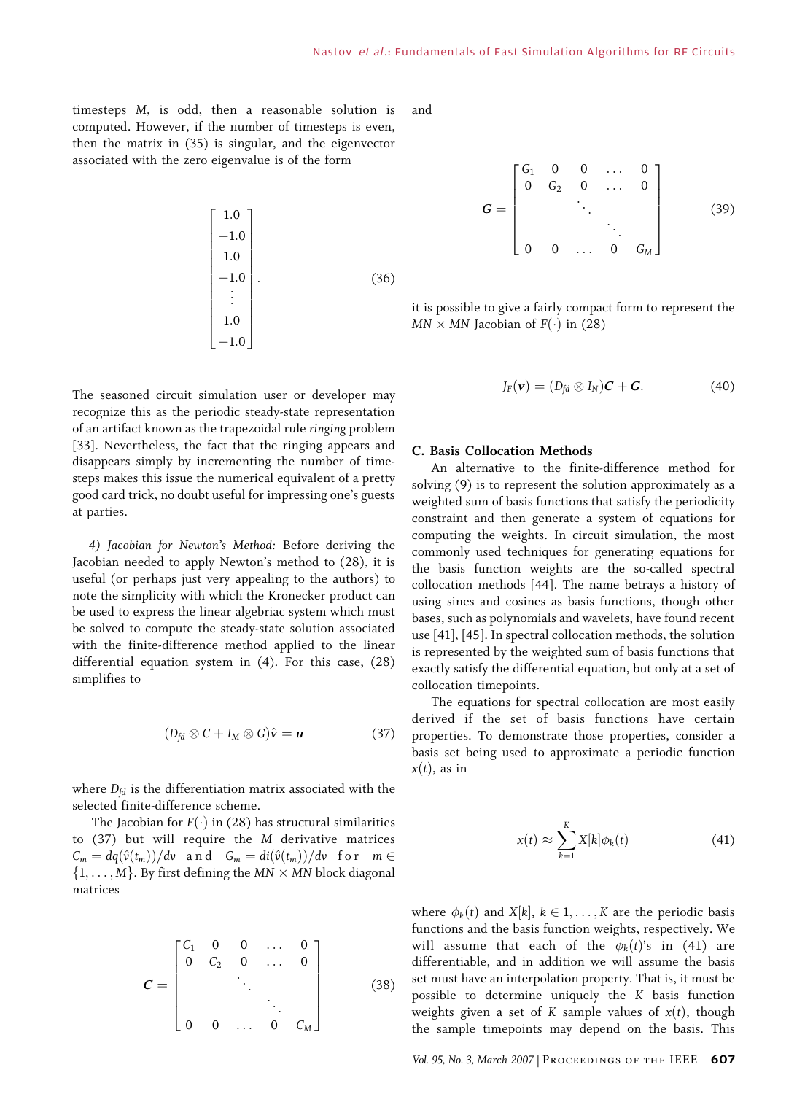timesteps M, is odd, then a reasonable solution is computed. However, if the number of timesteps is even, then the matrix in (35) is singular, and the eigenvector associated with the zero eigenvalue is of the form

$$
\begin{bmatrix} 1.0 \\ -1.0 \\ 1.0 \\ -1.0 \\ \vdots \\ 1.0 \\ -1.0 \end{bmatrix} . \tag{36}
$$

The seasoned circuit simulation user or developer may recognize this as the periodic steady-state representation of an artifact known as the trapezoidal rule ringing problem [33]. Nevertheless, the fact that the ringing appears and disappears simply by incrementing the number of timesteps makes this issue the numerical equivalent of a pretty good card trick, no doubt useful for impressing one's guests at parties.

4) Jacobian for Newton's Method: Before deriving the Jacobian needed to apply Newton's method to (28), it is useful (or perhaps just very appealing to the authors) to note the simplicity with which the Kronecker product can be used to express the linear algebriac system which must be solved to compute the steady-state solution associated with the finite-difference method applied to the linear differential equation system in (4). For this case, (28) simplifies to

$$
(D_{fd} \otimes C + I_M \otimes G)\hat{\mathbf{v}} = \mathbf{u}
$$
 (37)

where  $D_{fd}$  is the differentiation matrix associated with the selected finite-difference scheme.

The Jacobian for  $F(\cdot)$  in (28) has structural similarities to (37) but will require the M derivative matrices  $C_m = dq(\hat{v}(t_m))/dv$  and  $G_m = di(\hat{v}(t_m))/dv$  for  $m \in$  $\{1, \ldots, M\}$ . By first defining the MN  $\times$  MN block diagonal matrices

$$
C = \begin{bmatrix} C_1 & 0 & 0 & \dots & 0 \\ 0 & C_2 & 0 & \dots & 0 \\ & & \ddots & & \\ & & & \ddots & \\ 0 & 0 & \dots & 0 & C_M \end{bmatrix}
$$
 (38)

and

$$
G = \begin{bmatrix} G_1 & 0 & 0 & \dots & 0 \\ 0 & G_2 & 0 & \dots & 0 \\ & & \ddots & & \\ & & & \ddots & \\ 0 & 0 & \dots & 0 & G_M \end{bmatrix}
$$
 (39)

it is possible to give a fairly compact form to represent the  $MN \times MN$  Jacobian of  $F(\cdot)$  in (28)

$$
J_F(\mathbf{v}) = (D_{fd} \otimes I_N)\mathbf{C} + \mathbf{G}.
$$
 (40)

### C. Basis Collocation Methods

An alternative to the finite-difference method for solving (9) is to represent the solution approximately as a weighted sum of basis functions that satisfy the periodicity constraint and then generate a system of equations for computing the weights. In circuit simulation, the most commonly used techniques for generating equations for the basis function weights are the so-called spectral collocation methods [44]. The name betrays a history of using sines and cosines as basis functions, though other bases, such as polynomials and wavelets, have found recent use [41], [45]. In spectral collocation methods, the solution is represented by the weighted sum of basis functions that exactly satisfy the differential equation, but only at a set of collocation timepoints.

The equations for spectral collocation are most easily derived if the set of basis functions have certain properties. To demonstrate those properties, consider a basis set being used to approximate a periodic function  $x(t)$ , as in

$$
x(t) \approx \sum_{k=1}^{K} X[k] \phi_k(t) \tag{41}
$$

where  $\phi_k(t)$  and  $X[k], k \in 1, \ldots, K$  are the periodic basis functions and the basis function weights, respectively. We will assume that each of the  $\phi_k(t)$ 's in (41) are differentiable, and in addition we will assume the basis set must have an interpolation property. That is, it must be possible to determine uniquely the K basis function weights given a set of K sample values of  $x(t)$ , though the sample timepoints may depend on the basis. This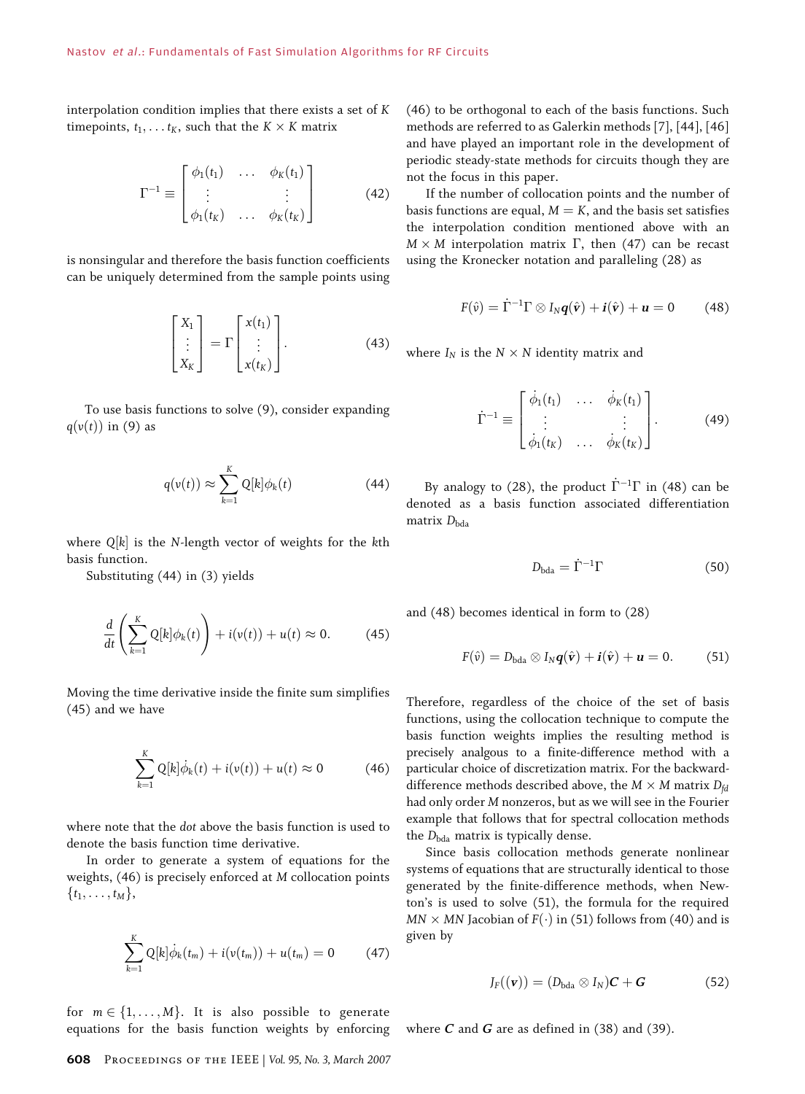interpolation condition implies that there exists a set of K timepoints,  $t_1, \ldots t_K$ , such that the  $K \times K$  matrix

$$
\Gamma^{-1} \equiv \begin{bmatrix} \phi_1(t_1) & \dots & \phi_K(t_1) \\ \vdots & & \vdots \\ \phi_1(t_K) & \dots & \phi_K(t_K) \end{bmatrix}
$$
 (42)

is nonsingular and therefore the basis function coefficients can be uniquely determined from the sample points using

$$
\begin{bmatrix} X_1 \\ \vdots \\ X_K \end{bmatrix} = \Gamma \begin{bmatrix} x(t_1) \\ \vdots \\ x(t_K) \end{bmatrix} . \tag{43}
$$

To use basis functions to solve (9), consider expanding  $q(v(t))$  in (9) as

$$
q(v(t)) \approx \sum_{k=1}^{K} Q[k] \phi_k(t)
$$
 (44)

where  $Q[k]$  is the N-length vector of weights for the kth basis function.

Substituting (44) in (3) yields

$$
\frac{d}{dt}\left(\sum_{k=1}^{K} Q[k] \phi_k(t)\right) + i(v(t)) + u(t) \approx 0. \tag{45}
$$

Moving the time derivative inside the finite sum simplifies (45) and we have

$$
\sum_{k=1}^{K} Q[k] \dot{\phi}_k(t) + i(v(t)) + u(t) \approx 0 \qquad (46)
$$

where note that the dot above the basis function is used to denote the basis function time derivative.

In order to generate a system of equations for the weights, (46) is precisely enforced at M collocation points  $\{t_1,\ldots,t_M\},\$ 

$$
\sum_{k=1}^{K} Q[k] \dot{\phi}_k(t_m) + i(v(t_m)) + u(t_m) = 0 \qquad (47)
$$

for  $m \in \{1, \ldots, M\}$ . It is also possible to generate equations for the basis function weights by enforcing (46) to be orthogonal to each of the basis functions. Such methods are referred to as Galerkin methods [7], [44], [46] and have played an important role in the development of periodic steady-state methods for circuits though they are not the focus in this paper.

If the number of collocation points and the number of basis functions are equal,  $M = K$ , and the basis set satisfies the interpolation condition mentioned above with an  $M \times M$  interpolation matrix  $\Gamma$ , then (47) can be recast using the Kronecker notation and paralleling (28) as

$$
F(\hat{\mathbf{v}}) = \dot{\Gamma}^{-1} \Gamma \otimes I_N \mathbf{q}(\hat{\mathbf{v}}) + \mathbf{i}(\hat{\mathbf{v}}) + \mathbf{u} = 0 \quad (48)
$$

where  $I_N$  is the  $N \times N$  identity matrix and

$$
\dot{\Gamma}^{-1} \equiv \begin{bmatrix} \dot{\phi}_1(t_1) & \dots & \dot{\phi}_K(t_1) \\ \vdots & & \vdots \\ \dot{\phi}_1(t_K) & \dots & \dot{\phi}_K(t_K) \end{bmatrix} . \tag{49}
$$

By analogy to (28), the product  $\dot{\Gamma}^{-1}\Gamma$  in (48) can be denoted as a basis function associated differentiation matrix  $D_{\text{bda}}$ 

$$
D_{\text{bda}} = \dot{\Gamma}^{-1} \Gamma \tag{50}
$$

and (48) becomes identical in form to (28)

$$
F(\hat{\mathbf{v}}) = D_{\text{bda}} \otimes I_N \mathbf{q}(\hat{\mathbf{v}}) + \mathbf{i}(\hat{\mathbf{v}}) + \mathbf{u} = 0. \quad (51)
$$

Therefore, regardless of the choice of the set of basis functions, using the collocation technique to compute the basis function weights implies the resulting method is precisely analgous to a finite-difference method with a particular choice of discretization matrix. For the backwarddifference methods described above, the  $M \times M$  matrix  $D_{fd}$ had only order M nonzeros, but as we will see in the Fourier example that follows that for spectral collocation methods the  $D_{\text{bda}}$  matrix is typically dense.

Since basis collocation methods generate nonlinear systems of equations that are structurally identical to those generated by the finite-difference methods, when Newton's is used to solve (51), the formula for the required  $MN \times MN$  Jacobian of  $F(\cdot)$  in (51) follows from (40) and is given by

$$
J_F((\mathbf{v})) = (D_{\text{bda}} \otimes I_N)\mathbf{C} + \mathbf{G}
$$
 (52)

where  $C$  and  $G$  are as defined in (38) and (39).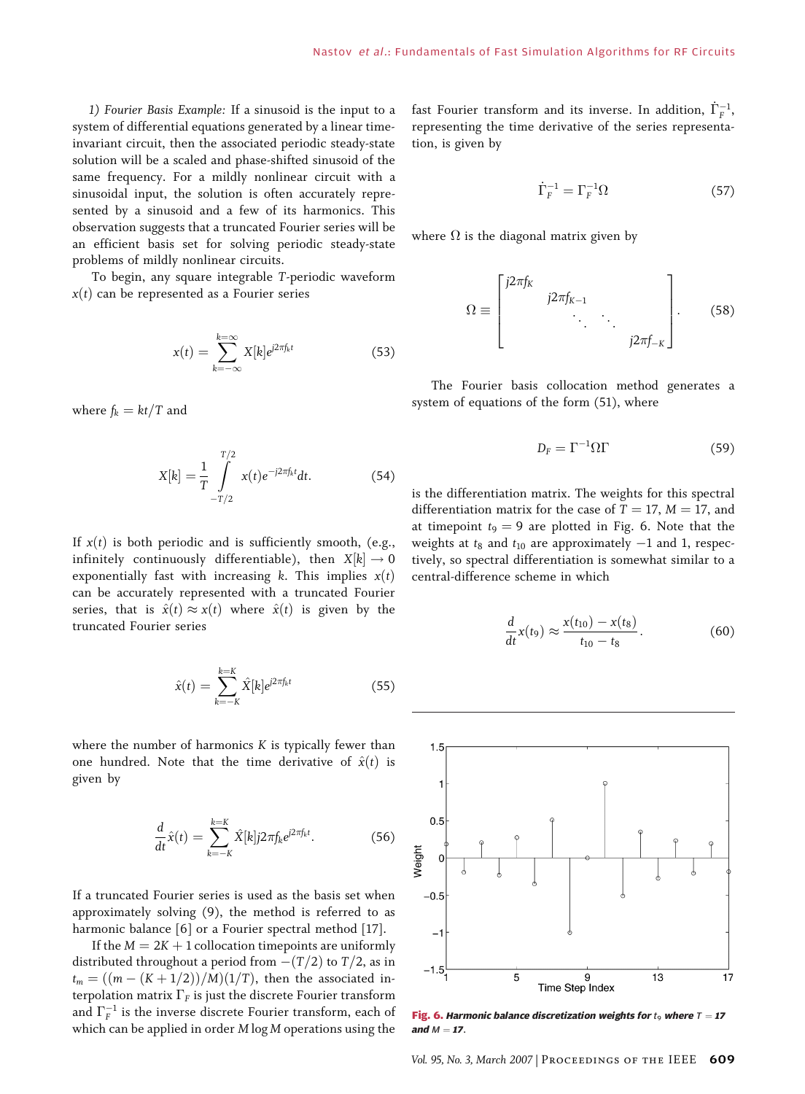1) Fourier Basis Example: If a sinusoid is the input to a system of differential equations generated by a linear timeinvariant circuit, then the associated periodic steady-state solution will be a scaled and phase-shifted sinusoid of the same frequency. For a mildly nonlinear circuit with a sinusoidal input, the solution is often accurately represented by a sinusoid and a few of its harmonics. This observation suggests that a truncated Fourier series will be an efficient basis set for solving periodic steady-state problems of mildly nonlinear circuits.

To begin, any square integrable T-periodic waveform  $x(t)$  can be represented as a Fourier series

$$
x(t) = \sum_{k=-\infty}^{k=\infty} X[k]e^{j2\pi f_k t}
$$
 (53)

where  $f_k = kt/T$  and

$$
X[k] = \frac{1}{T} \int_{-T/2}^{T/2} x(t)e^{-j2\pi f_k t} dt.
$$
 (54)

If  $x(t)$  is both periodic and is sufficiently smooth, (e.g., infinitely continuously differentiable), then  $X[k] \rightarrow 0$ exponentially fast with increasing k. This implies  $x(t)$ can be accurately represented with a truncated Fourier series, that is  $\hat{x}(t) \approx x(t)$  where  $\hat{x}(t)$  is given by the truncated Fourier series

$$
\hat{x}(t) = \sum_{k=-K}^{k=K} \hat{X}[k] e^{j2\pi f_k t}
$$
\n(55)

where the number of harmonics  $K$  is typically fewer than one hundred. Note that the time derivative of  $\hat{x}(t)$  is given by

$$
\frac{d}{dt}\hat{x}(t) = \sum_{k=-K}^{k=K} \hat{X}[k]j2\pi f_k e^{j2\pi f_k t}.
$$
 (56)

If a truncated Fourier series is used as the basis set when approximately solving (9), the method is referred to as harmonic balance [6] or a Fourier spectral method [17].

If the  $M = 2K + 1$  collocation timepoints are uniformly distributed throughout a period from  $-(T/2)$  to  $T/2$ , as in  $t_m = ((m - (K + 1/2))/M)(1/T)$ , then the associated interpolation matrix  $\Gamma_F$  is just the discrete Fourier transform and  $\Gamma_F^{-1}$  is the inverse discrete Fourier transform, each of which can be applied in order M log M operations using the

fast Fourier transform and its inverse. In addition,  $\dot{\Gamma}_{F}^{-1},$ representing the time derivative of the series representation, is given by

$$
\dot{\Gamma}_F^{-1} = \Gamma_F^{-1} \Omega \tag{57}
$$

where  $\Omega$  is the diagonal matrix given by

$$
\Omega \equiv \begin{bmatrix} j2\pi f_K & & & \\ & j2\pi f_{K-1} & & \\ & \ddots & \ddots & \\ & & j2\pi f_{-K} \end{bmatrix} . \tag{58}
$$

The Fourier basis collocation method generates a system of equations of the form (51), where

$$
D_{\rm F} = \Gamma^{-1} \Omega \Gamma \tag{59}
$$

is the differentiation matrix. The weights for this spectral differentiation matrix for the case of  $T = 17$ ,  $M = 17$ , and at timepoint  $t_9 = 9$  are plotted in Fig. 6. Note that the weights at  $t_8$  and  $t_{10}$  are approximately  $-1$  and 1, respectively, so spectral differentiation is somewhat similar to a central-difference scheme in which

$$
\frac{d}{dt}x(t_9) \approx \frac{x(t_{10}) - x(t_8)}{t_{10} - t_8}.
$$
 (60)



Fig. 6. Harmonic balance discretization weights for  $t_9$  where  $T = 17$ and  $M = 17$ .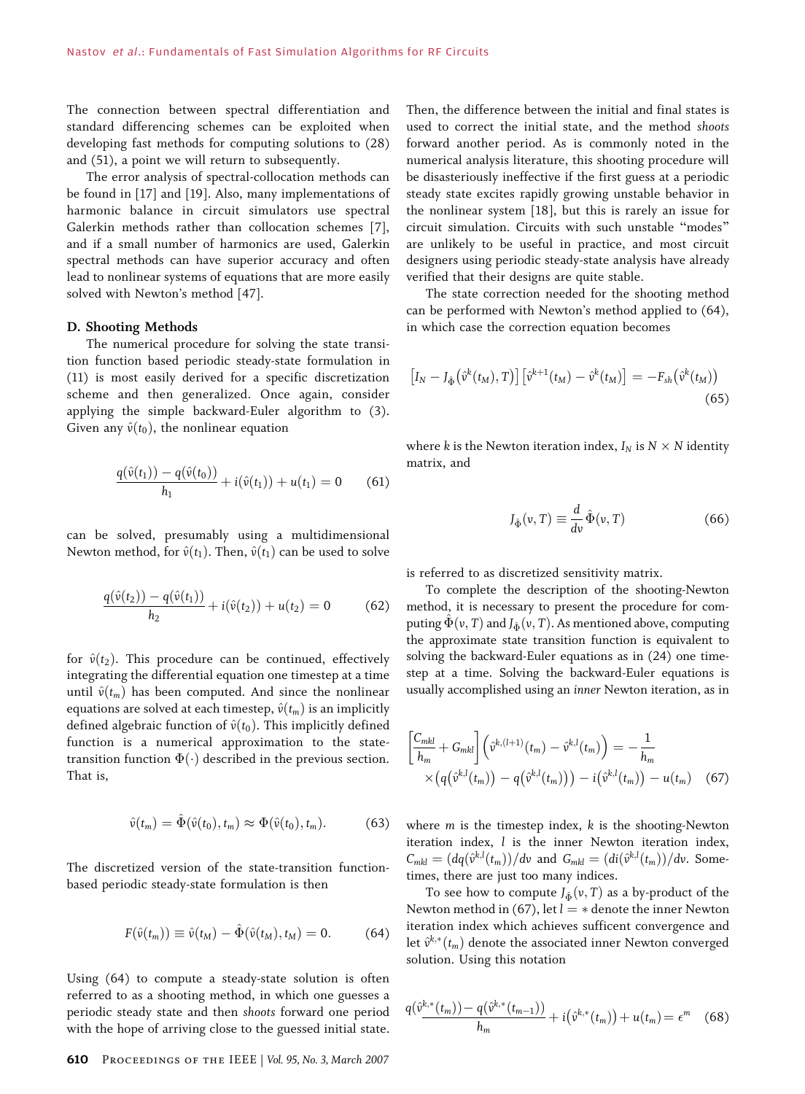The connection between spectral differentiation and standard differencing schemes can be exploited when developing fast methods for computing solutions to (28) and (51), a point we will return to subsequently.

The error analysis of spectral-collocation methods can be found in [17] and [19]. Also, many implementations of harmonic balance in circuit simulators use spectral Galerkin methods rather than collocation schemes [7], and if a small number of harmonics are used, Galerkin spectral methods can have superior accuracy and often lead to nonlinear systems of equations that are more easily solved with Newton's method [47].

#### D. Shooting Methods

The numerical procedure for solving the state transition function based periodic steady-state formulation in (11) is most easily derived for a specific discretization scheme and then generalized. Once again, consider applying the simple backward-Euler algorithm to (3). Given any  $\hat{v}(t_0)$ , the nonlinear equation

$$
\frac{q(\hat{v}(t_1)) - q(\hat{v}(t_0))}{h_1} + i(\hat{v}(t_1)) + u(t_1) = 0 \qquad (61)
$$

can be solved, presumably using a multidimensional Newton method, for  $\hat{v}(t_1)$ . Then,  $\hat{v}(t_1)$  can be used to solve

$$
\frac{q(\hat{v}(t_2)) - q(\hat{v}(t_1))}{h_2} + i(\hat{v}(t_2)) + u(t_2) = 0 \tag{62}
$$

for  $\hat{v}(t_2)$ . This procedure can be continued, effectively integrating the differential equation one timestep at a time until  $\hat{v}(t_m)$  has been computed. And since the nonlinear equations are solved at each timestep,  $\hat{v}(t_m)$  is an implicitly defined algebraic function of  $\hat{v}(t_0)$ . This implicitly defined function is a numerical approximation to the statetransition function  $\Phi(\cdot)$  described in the previous section. That is,

$$
\hat{v}(t_m) = \hat{\Phi}(\hat{v}(t_0), t_m) \approx \Phi(\hat{v}(t_0), t_m). \tag{63}
$$

The discretized version of the state-transition functionbased periodic steady-state formulation is then

$$
F(\hat{v}(t_m)) \equiv \hat{v}(t_M) - \hat{\Phi}(\hat{v}(t_M), t_M) = 0. \tag{64}
$$

Using (64) to compute a steady-state solution is often referred to as a shooting method, in which one guesses a periodic steady state and then shoots forward one period with the hope of arriving close to the guessed initial state.

610 Proceedings of the IEEE | Vol. 95, No. 3, March 2007

Then, the difference between the initial and final states is used to correct the initial state, and the method shoots forward another period. As is commonly noted in the numerical analysis literature, this shooting procedure will be disasteriously ineffective if the first guess at a periodic steady state excites rapidly growing unstable behavior in the nonlinear system [18], but this is rarely an issue for circuit simulation. Circuits with such unstable "modes" are unlikely to be useful in practice, and most circuit designers using periodic steady-state analysis have already verified that their designs are quite stable.

The state correction needed for the shooting method can be performed with Newton's method applied to (64), in which case the correction equation becomes

$$
\left[I_N - J_{\hat{\Phi}}\left(\hat{v}^k(t_M), T\right)\right] \left[\hat{v}^{k+1}(t_M) - \hat{v}^k(t_M)\right] = -F_{sh}\left(\hat{v}^k(t_M)\right) \tag{65}
$$

where k is the Newton iteration index,  $I_N$  is  $N \times N$  identity matrix, and

$$
J_{\hat{\Phi}}(v,T) \equiv \frac{d}{dv}\hat{\Phi}(v,T)
$$
\n(66)

is referred to as discretized sensitivity matrix.

To complete the description of the shooting-Newton method, it is necessary to present the procedure for computing  $\hat{\Phi}(v, T)$  and  $J_{\hat{\Phi}}(v, T)$ . As mentioned above, computing the approximate state transition function is equivalent to solving the backward-Euler equations as in (24) one timestep at a time. Solving the backward-Euler equations is usually accomplished using an inner Newton iteration, as in

$$
\begin{aligned} &\left[\frac{C_{mkl}}{h_m} + G_{mkl}\right] \left(\hat{v}^{k,(l+1)}(t_m) - \hat{v}^{k,l}(t_m)\right) = -\frac{1}{h_m} \\ &\times \left(q(\hat{v}^{k,l}(t_m)) - q(\hat{v}^{k,l}(t_m))\right) - i(\hat{v}^{k,l}(t_m)) - u(t_m) \end{aligned} \tag{67}
$$

where  $m$  is the timestep index,  $k$  is the shooting-Newton iteration index, l is the inner Newton iteration index,  $C_{mkl} = \left(\frac{dq(\hat{v}^{k,l}(t_m))}{dv} \text{ and } G_{mkl} = \left(\frac{di(\hat{v}^{k,l}(t_m))}{dv} \text{. Some-} \right)$ times, there are just too many indices.

To see how to compute  $J_{\hat{\Phi}}(v,T)$  as a by-product of the Newton method in (67), let  $l = *$  denote the inner Newton iteration index which achieves sufficent convergence and let  $\hat{v}^{k,*}(t_m)$  denote the associated inner Newton converged solution. Using this notation

$$
q(\hat{v}^{k,*}(t_m)) - q(\hat{v}^{k,*}(t_{m-1})) + i(\hat{v}^{k,*}(t_m)) + u(t_m) = \epsilon^m \quad (68)
$$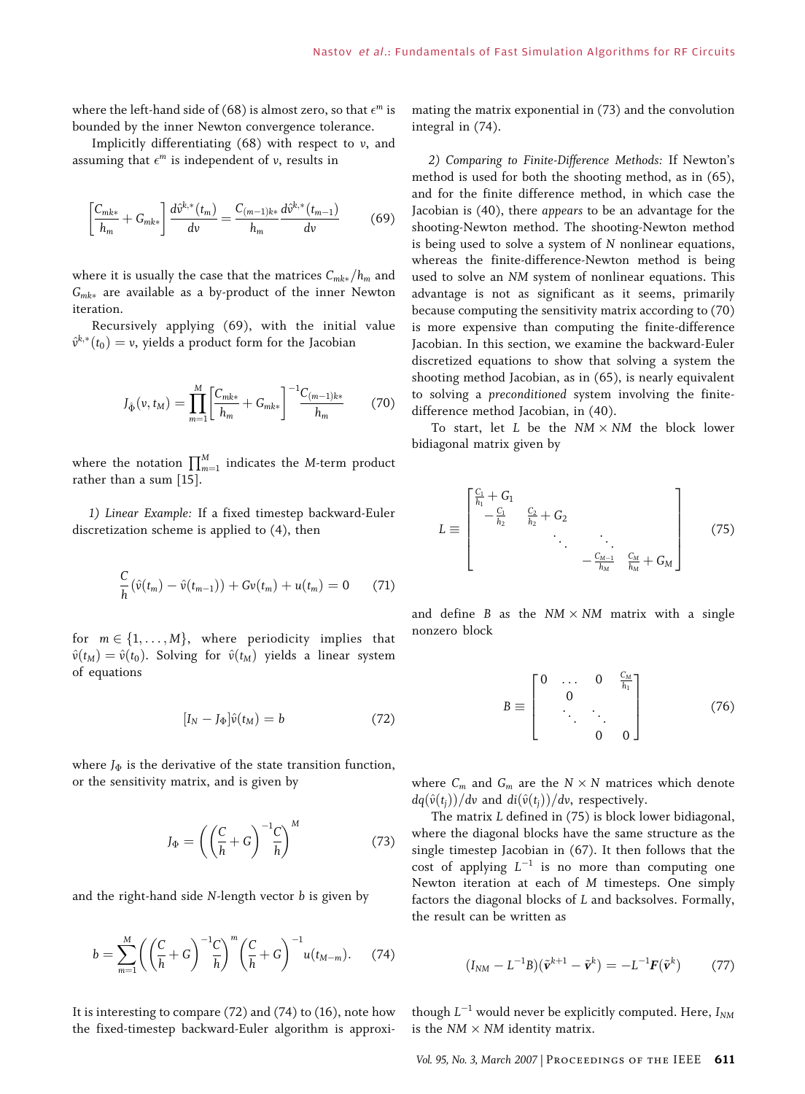where the left-hand side of (68) is almost zero, so that  $\epsilon^m$  is bounded by the inner Newton convergence tolerance.

Implicitly differentiating  $(68)$  with respect to v, and assuming that  $\epsilon^m$  is independent of v, results in

$$
\left[\frac{C_{mk*}}{h_m} + G_{mk*}\right] \frac{d\hat{v}^{k,*}(t_m)}{dv} = \frac{C_{(m-1)k*}}{h_m} \frac{d\hat{v}^{k,*}(t_{m-1})}{dv} \tag{69}
$$

where it is usually the case that the matrices  $C_{mk*}/h_m$  and  $G_{mk*}$  are available as a by-product of the inner Newton iteration.

Recursively applying (69), with the initial value  $\hat{v}^{k,*}(t_0)=v$ , yields a product form for the Jacobian

$$
J_{\hat{\Phi}}(\nu, t_M) = \prod_{m=1}^{M} \left[ \frac{C_{mk*}}{h_m} + G_{mk*} \right]^{-1} \frac{C_{(m-1)k*}}{h_m}
$$
 (70)

where the notation  $\prod_{m=1}^{M}$  indicates the M-term product rather than a sum [15].

1) Linear Example: If a fixed timestep backward-Euler discretization scheme is applied to (4), then

$$
\frac{C}{h}(\hat{v}(t_m) - \hat{v}(t_{m-1})) + Gv(t_m) + u(t_m) = 0 \quad (71)
$$

for  $m \in \{1, \ldots, M\}$ , where periodicity implies that  $\hat{v}(t_M) = \hat{v}(t_0)$ . Solving for  $\hat{v}(t_M)$  yields a linear system of equations

$$
[I_N - J_{\Phi}]\hat{\nu}(t_M) = b \tag{72}
$$

where  $J_{\Phi}$  is the derivative of the state transition function, or the sensitivity matrix, and is given by

$$
J_{\Phi} = \left( \left( \frac{C}{h} + G \right)^{-1} \frac{C}{h} \right)^M \tag{73}
$$

and the right-hand side  $N$ -length vector  $b$  is given by

$$
b = \sum_{m=1}^{M} \left( \left( \frac{C}{h} + G \right)^{-1} \frac{C}{h} \right)^{m} \left( \frac{C}{h} + G \right)^{-1} u(t_{M-m}). \tag{74}
$$

It is interesting to compare (72) and (74) to (16), note how the fixed-timestep backward-Euler algorithm is approximating the matrix exponential in (73) and the convolution integral in (74).

2) Comparing to Finite-Difference Methods: If Newton's method is used for both the shooting method, as in (65), and for the finite difference method, in which case the Jacobian is (40), there appears to be an advantage for the shooting-Newton method. The shooting-Newton method is being used to solve a system of N nonlinear equations, whereas the finite-difference-Newton method is being used to solve an NM system of nonlinear equations. This advantage is not as significant as it seems, primarily because computing the sensitivity matrix according to (70) is more expensive than computing the finite-difference Jacobian. In this section, we examine the backward-Euler discretized equations to show that solving a system the shooting method Jacobian, as in (65), is nearly equivalent to solving a preconditioned system involving the finitedifference method Jacobian, in (40).

To start, let  $L$  be the  $NM \times NM$  the block lower bidiagonal matrix given by

$$
L \equiv \begin{bmatrix} \frac{C_1}{h_1} + G_1 & & & & \\ -\frac{C_1}{h_2} & \frac{C_2}{h_2} + G_2 & & & \\ & \ddots & \ddots & \ddots & \\ & & -\frac{C_{M-1}}{h_M} & \frac{C_M}{h_M} + G_M \end{bmatrix}
$$
(75)

and define B as the  $NM \times NM$  matrix with a single nonzero block

$$
B \equiv \begin{bmatrix} 0 & \dots & 0 & \frac{C_M}{h_1} \\ & 0 & & \\ & \ddots & \ddots & \\ & & 0 & 0 \end{bmatrix}
$$
 (76)

where  $C_m$  and  $G_m$  are the  $N \times N$  matrices which denote  $dq(\hat{v}(t_i))/dv$  and  $di(\hat{v}(t_i))/dv$ , respectively.

The matrix L defined in (75) is block lower bidiagonal, where the diagonal blocks have the same structure as the single timestep Jacobian in (67). It then follows that the cost of applying  $L^{-1}$  is no more than computing one Newton iteration at each of M timesteps. One simply factors the diagonal blocks of L and backsolves. Formally, the result can be written as

$$
(I_{NM} - L^{-1}B)(\tilde{\mathbf{v}}^{k+1} - \tilde{\mathbf{v}}^k) = -L^{-1}\mathbf{F}(\tilde{\mathbf{v}}^k)
$$
 (77)

though  $L^{-1}$  would never be explicitly computed. Here,  $I_{NM}$ is the  $NM \times NM$  identity matrix.

Vol. 95, No. 3, March 2007 | PROCEEDINGS OF THE IEEE 611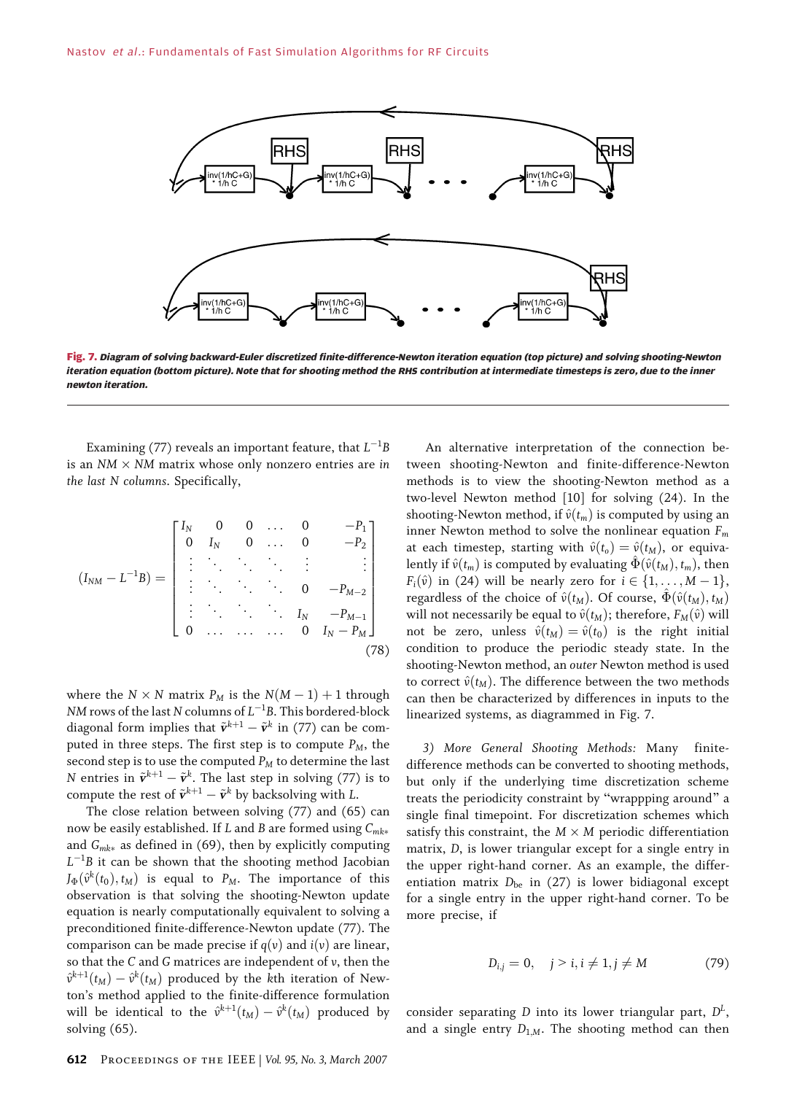

Fig. 7. Diagram of solving backward-Euler discretized finite-difference-Newton iteration equation (top picture) and solving shooting-Newton iteration equation (bottom picture). Note that for shooting method the RHS contribution at intermediate timesteps is zero, due to the inner newton iteration.

Examining (77) reveals an important feature, that  $L^{-1}B$ is an  $NM \times NM$  matrix whose only nonzero entries are in the last N columns. Specifically,

$$
(I_{NM} - L^{-1}B) = \begin{bmatrix} I_N & 0 & 0 & \dots & 0 & -P_1 \\ 0 & I_N & 0 & \dots & 0 & -P_2 \\ \vdots & \ddots & \ddots & \ddots & \vdots & \vdots \\ \vdots & \ddots & \ddots & \ddots & 0 & -P_{M-2} \\ \vdots & \ddots & \ddots & \ddots & I_N & -P_{M-1} \\ 0 & \dots & \dots & \dots & 0 & I_N - P_M \end{bmatrix}
$$
(78)

where the  $N \times N$  matrix  $P_M$  is the  $N(M - 1) + 1$  through NM rows of the last N columns of  $L^{-1}$ B. This bordered-block diagonal form implies that  $\tilde{\mathbf{v}}^{k+1} - \tilde{\mathbf{v}}^k$  in (77) can be computed in three steps. The first step is to compute  $P_M$ , the second step is to use the computed  $P_M$  to determine the last N entries in  $\tilde{\mathbf{v}}^{k+1} - \tilde{\mathbf{v}}^k$ . The last step in solving (77) is to compute the rest of  $\tilde{\mathbf{v}}^{k+1} - \tilde{\mathbf{v}}^k$  by backsolving with L.

The close relation between solving (77) and (65) can now be easily established. If L and B are formed using  $C_{mk*}$ and  $G_{mk*}$  as defined in (69), then by explicitly computing  $L^{-1}B$  it can be shown that the shooting method Jacobian  $J_{\Phi}(\hat{v}^{k}(t_0), t_M)$  is equal to  $P_M$ . The importance of this observation is that solving the shooting-Newton update equation is nearly computationally equivalent to solving a preconditioned finite-difference-Newton update (77). The comparison can be made precise if  $q(v)$  and  $i(v)$  are linear, so that the C and G matrices are independent of v, then the  $\hat{v}^{k+1}(t_M) - \hat{v}^k(t_M)$  produced by the kth iteration of Newton's method applied to the finite-difference formulation will be identical to the  $\hat{v}^{k+1}(t_M) - \hat{v}^k(t_M)$  produced by solving (65).

An alternative interpretation of the connection between shooting-Newton and finite-difference-Newton methods is to view the shooting-Newton method as a two-level Newton method [10] for solving (24). In the shooting-Newton method, if  $\hat{v}(t_m)$  is computed by using an inner Newton method to solve the nonlinear equation  $F_m$ at each timestep, starting with  $\hat{v}(t_0) = \hat{v}(t_M)$ , or equivalently if  $\hat{v}(t_m)$  is computed by evaluating  $\Phi(\hat{v}(t_M), t_m)$ , then  $F_i(\hat{v})$  in (24) will be nearly zero for  $i \in \{1, \ldots, M - 1\},$ regardless of the choice of  $\hat{v}(t_M)$ . Of course,  $\hat{\Phi}(\hat{v}(t_M), t_M)$ will not necessarily be equal to  $\hat{v}(t_M)$ ; therefore,  $F_M(\hat{v})$  will not be zero, unless  $\hat{v}(t_M) = \hat{v}(t_0)$  is the right initial condition to produce the periodic steady state. In the shooting-Newton method, an outer Newton method is used to correct  $\hat{v}(t_M)$ . The difference between the two methods can then be characterized by differences in inputs to the linearized systems, as diagrammed in Fig. 7.

3) More General Shooting Methods: Many finitedifference methods can be converted to shooting methods, but only if the underlying time discretization scheme treats the periodicity constraint by "wrappping around" a single final timepoint. For discretization schemes which satisfy this constraint, the  $M \times M$  periodic differentiation matrix, D, is lower triangular except for a single entry in the upper right-hand corner. As an example, the differentiation matrix  $D_{be}$  in (27) is lower bidiagonal except for a single entry in the upper right-hand corner. To be more precise, if

$$
D_{i,j} = 0, \quad j > i, i \neq 1, j \neq M
$$
 (79)

consider separating D into its lower triangular part,  $D<sup>L</sup>$ , and a single entry  $D_{1,M}$ . The shooting method can then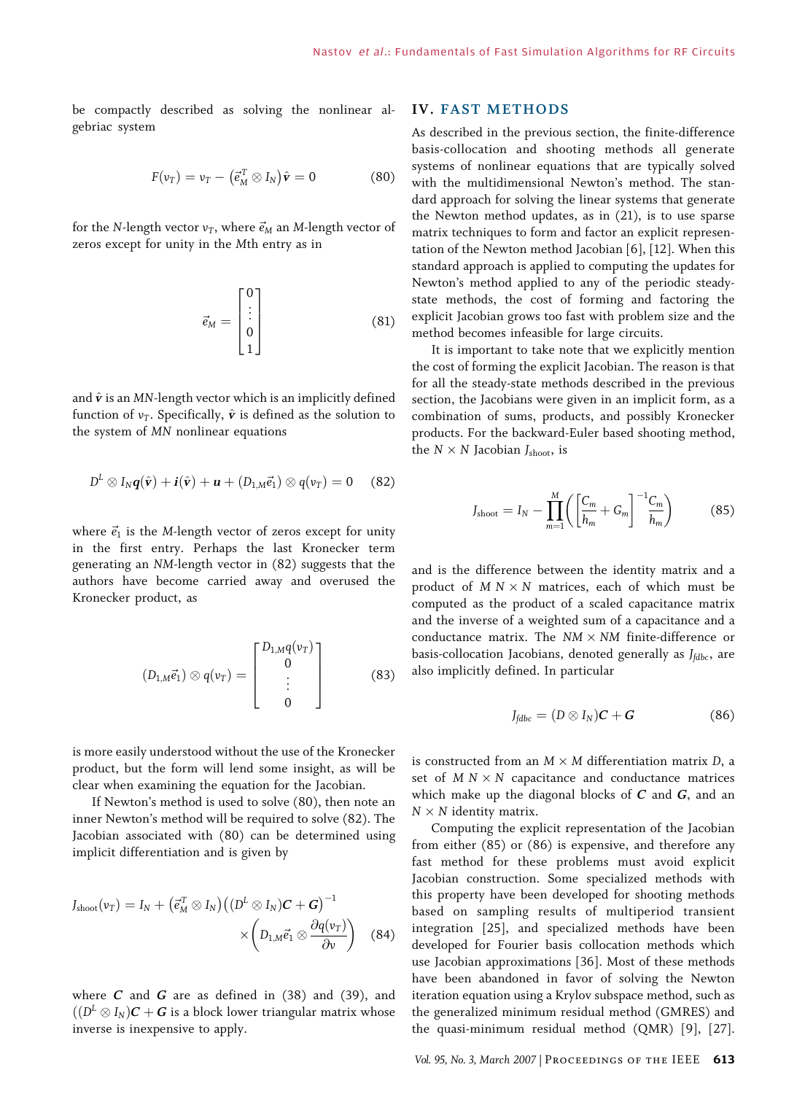be compactly described as solving the nonlinear algebriac system

$$
F(v_T) = v_T - (\vec{e}_M^T \otimes I_N)\hat{\mathbf{v}} = 0 \tag{80}
$$

for the N-length vector  $v_T$ , where  $\vec{e}_M$  an M-length vector of zeros except for unity in the Mth entry as in

$$
\vec{e}_M = \begin{bmatrix} 0 \\ \vdots \\ 0 \\ 1 \end{bmatrix} \tag{81}
$$

and  $\hat{\mathbf{v}}$  is an MN-length vector which is an implicitly defined function of  $v_T$ . Specifically,  $\hat{v}$  is defined as the solution to the system of MN nonlinear equations

$$
D^{L} \otimes I_{N} \boldsymbol{q}(\hat{\boldsymbol{v}}) + \boldsymbol{i}(\hat{\boldsymbol{v}}) + \boldsymbol{u} + (D_{1,M} \vec{e}_{1}) \otimes q(v_{T}) = 0 \quad (82)
$$

where  $\vec{e}_1$  is the M-length vector of zeros except for unity in the first entry. Perhaps the last Kronecker term generating an NM-length vector in (82) suggests that the authors have become carried away and overused the Kronecker product, as

$$
(D_{1,M}\vec{e}_1) \otimes q(v_T) = \begin{bmatrix} D_{1,M}q(v_T) \\ 0 \\ \vdots \\ 0 \end{bmatrix}
$$
 (83)

is more easily understood without the use of the Kronecker product, but the form will lend some insight, as will be clear when examining the equation for the Jacobian.

If Newton's method is used to solve (80), then note an inner Newton's method will be required to solve (82). The Jacobian associated with (80) can be determined using implicit differentiation and is given by

$$
J_{\text{shoot}}(v_T) = I_N + \left(\vec{e}_M^T \otimes I_N\right) \left(\left(D^L \otimes I_N\right) \mathcal{C} + \mathcal{G}\right)^{-1} \times \left(D_{1,M} \vec{e}_1 \otimes \frac{\partial q(v_T)}{\partial v}\right) \quad (84)
$$

where  $C$  and  $G$  are as defined in (38) and (39), and  $\sqrt{(D^L \otimes I_N)C + G}$  is a block lower triangular matrix whose inverse is inexpensive to apply.

### IV. FAST METHODS

As described in the previous section, the finite-difference basis-collocation and shooting methods all generate systems of nonlinear equations that are typically solved with the multidimensional Newton's method. The standard approach for solving the linear systems that generate the Newton method updates, as in (21), is to use sparse matrix techniques to form and factor an explicit representation of the Newton method Jacobian [6], [12]. When this standard approach is applied to computing the updates for Newton's method applied to any of the periodic steadystate methods, the cost of forming and factoring the explicit Jacobian grows too fast with problem size and the method becomes infeasible for large circuits.

It is important to take note that we explicitly mention the cost of forming the explicit Jacobian. The reason is that for all the steady-state methods described in the previous section, the Jacobians were given in an implicit form, as a combination of sums, products, and possibly Kronecker products. For the backward-Euler based shooting method, the  $N \times N$  Jacobian  $J_{\text{shoot}}$ , is

$$
J_{\text{shoot}} = I_N - \prod_{m=1}^{M} \left( \left[ \frac{C_m}{h_m} + G_m \right]^{-1} \frac{C_m}{h_m} \right) \tag{85}
$$

and is the difference between the identity matrix and a product of  $M N \times N$  matrices, each of which must be computed as the product of a scaled capacitance matrix and the inverse of a weighted sum of a capacitance and a conductance matrix. The  $NM \times NM$  finite-difference or basis-collocation Jacobians, denoted generally as  $J_{fdbc}$ , are also implicitly defined. In particular

$$
J_{\text{fdbc}} = (D \otimes I_N)\boldsymbol{C} + \boldsymbol{G} \tag{86}
$$

is constructed from an  $M \times M$  differentiation matrix D, a set of  $M N \times N$  capacitance and conductance matrices which make up the diagonal blocks of  $C$  and  $G$ , and an  $N \times N$  identity matrix.

Computing the explicit representation of the Jacobian from either (85) or (86) is expensive, and therefore any fast method for these problems must avoid explicit Jacobian construction. Some specialized methods with this property have been developed for shooting methods based on sampling results of multiperiod transient integration [25], and specialized methods have been developed for Fourier basis collocation methods which use Jacobian approximations [36]. Most of these methods have been abandoned in favor of solving the Newton iteration equation using a Krylov subspace method, such as the generalized minimum residual method (GMRES) and the quasi-minimum residual method (QMR) [9], [27].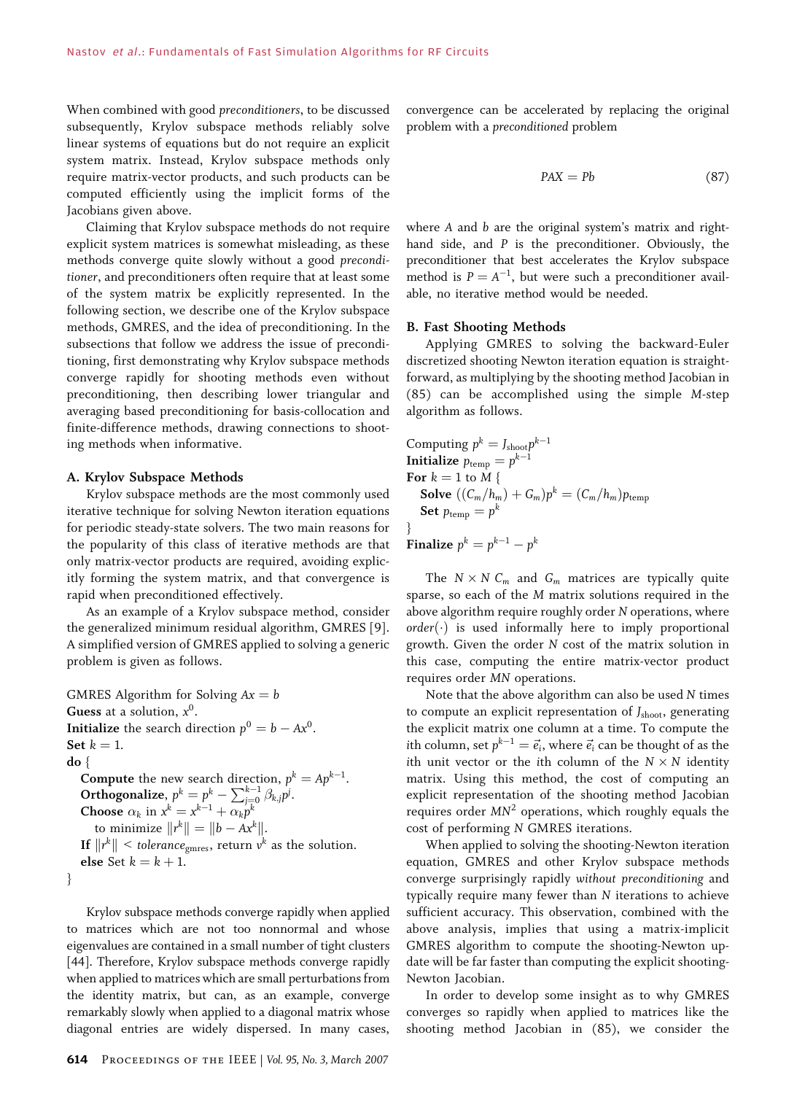When combined with good preconditioners, to be discussed subsequently, Krylov subspace methods reliably solve linear systems of equations but do not require an explicit system matrix. Instead, Krylov subspace methods only require matrix-vector products, and such products can be computed efficiently using the implicit forms of the Jacobians given above.

Claiming that Krylov subspace methods do not require explicit system matrices is somewhat misleading, as these methods converge quite slowly without a good preconditioner, and preconditioners often require that at least some of the system matrix be explicitly represented. In the following section, we describe one of the Krylov subspace methods, GMRES, and the idea of preconditioning. In the subsections that follow we address the issue of preconditioning, first demonstrating why Krylov subspace methods converge rapidly for shooting methods even without preconditioning, then describing lower triangular and averaging based preconditioning for basis-collocation and finite-difference methods, drawing connections to shooting methods when informative.

#### A. Krylov Subspace Methods

Krylov subspace methods are the most commonly used iterative technique for solving Newton iteration equations for periodic steady-state solvers. The two main reasons for the popularity of this class of iterative methods are that only matrix-vector products are required, avoiding explicitly forming the system matrix, and that convergence is rapid when preconditioned effectively.

As an example of a Krylov subspace method, consider the generalized minimum residual algorithm, GMRES [9]. A simplified version of GMRES applied to solving a generic problem is given as follows.

GMRES Algorithm for Solving  $Ax = b$ Guess at a solution,  $x^0$ . **Initialize** the search direction  $p^0 = b - Ax^0$ . Set  $k = 1$ . do { **Compute** the new search direction,  $p^k = Ap^{k-1}$ . Orthogonalize,  $p^k = p^k - \sum_{j=0}^{k-1} \beta_{k,j} p^j$ . **Choose**  $\alpha_k$  in  $x^k = x^{k-1} + \alpha_k p^k$ to minimize  $\|r^k\| = \|b - Ax^k\|.$ If  $\|r^k\|$  < tolerance<sub>gmres</sub>, return  $v^k$  as the solution. else Set  $k = k + 1$ . }

Krylov subspace methods converge rapidly when applied to matrices which are not too nonnormal and whose eigenvalues are contained in a small number of tight clusters [44]. Therefore, Krylov subspace methods converge rapidly when applied to matrices which are small perturbations from the identity matrix, but can, as an example, converge remarkably slowly when applied to a diagonal matrix whose diagonal entries are widely dispersed. In many cases,

convergence can be accelerated by replacing the original problem with a preconditioned problem

$$
PAX = Pb \tag{87}
$$

where A and b are the original system's matrix and righthand side, and P is the preconditioner. Obviously, the preconditioner that best accelerates the Krylov subspace method is  $P = A^{-1}$ , but were such a preconditioner available, no iterative method would be needed.

#### B. Fast Shooting Methods

Applying GMRES to solving the backward-Euler discretized shooting Newton iteration equation is straightforward, as multiplying by the shooting method Jacobian in (85) can be accomplished using the simple M-step algorithm as follows.

Computing  $p^k = J_{\text{shoot}} p^{k-1}$ Initialize  $p_{\text{temp}} = p^{k-1}$ For  $k = 1$  to  $M \$ **Solve**  $((C_m/h_m) + G_m)p^k = (C_m/h_m)p_{temp}$ Set  $p_{temp} = p^k$ }

Finalize  $p^k = p^{k-1} - p^k$ 

The  $N \times N$  C<sub>m</sub> and G<sub>m</sub> matrices are typically quite sparse, so each of the M matrix solutions required in the above algorithm require roughly order N operations, where  $order(\cdot)$  is used informally here to imply proportional growth. Given the order N cost of the matrix solution in this case, computing the entire matrix-vector product requires order MN operations.

Note that the above algorithm can also be used N times to compute an explicit representation of  $J_{\text{shoot}}$ , generating the explicit matrix one column at a time. To compute the ith column, set  $p^{k-1} = \vec{e}_i$ , where  $\vec{e}_i$  can be thought of as the ith unit vector or the ith column of the  $N \times N$  identity matrix. Using this method, the cost of computing an explicit representation of the shooting method Jacobian requires order  $MN^2$  operations, which roughly equals the cost of performing N GMRES iterations.

When applied to solving the shooting-Newton iteration equation, GMRES and other Krylov subspace methods converge surprisingly rapidly without preconditioning and typically require many fewer than N iterations to achieve sufficient accuracy. This observation, combined with the above analysis, implies that using a matrix-implicit GMRES algorithm to compute the shooting-Newton update will be far faster than computing the explicit shooting-Newton Jacobian.

In order to develop some insight as to why GMRES converges so rapidly when applied to matrices like the shooting method Jacobian in (85), we consider the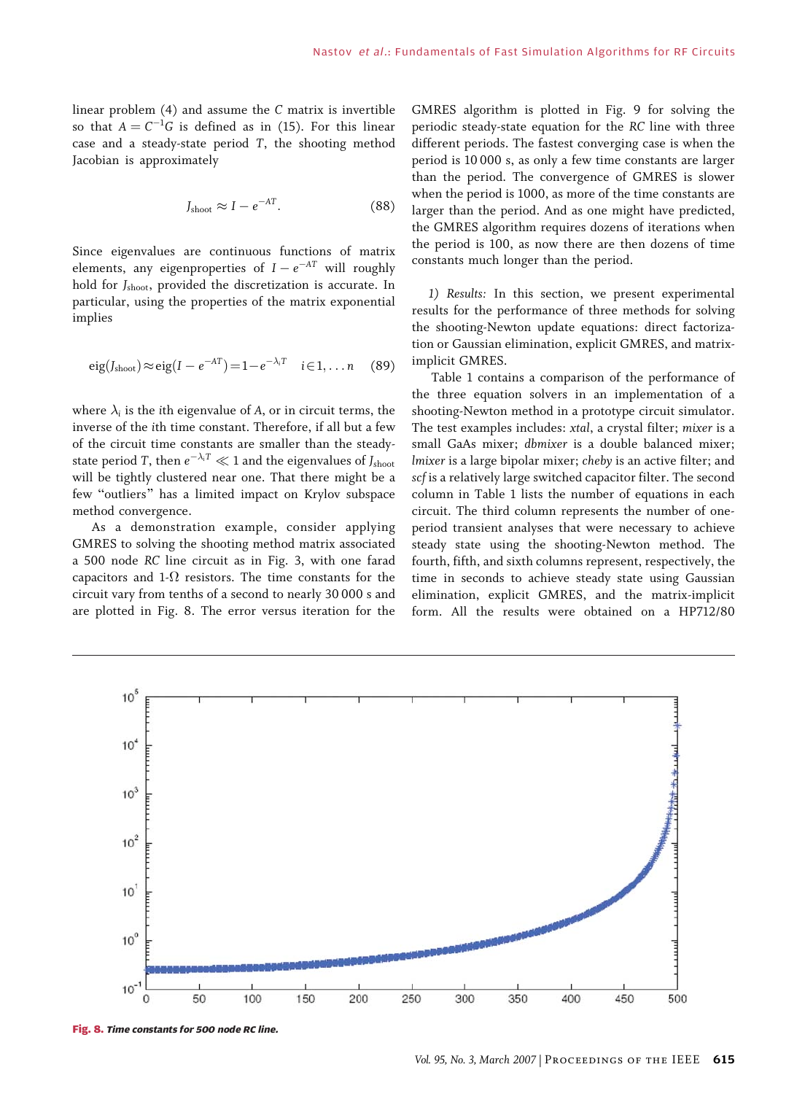linear problem (4) and assume the C matrix is invertible so that  $A = C^{-1}G$  is defined as in (15). For this linear case and a steady-state period T, the shooting method Jacobian is approximately

$$
J_{\text{shoot}} \approx I - e^{-AT}.
$$
 (88)

Since eigenvalues are continuous functions of matrix elements, any eigenproperties of  $I - e^{-AT}$  will roughly hold for J<sub>shoot</sub>, provided the discretization is accurate. In particular, using the properties of the matrix exponential implies

$$
eig(Jshoot) \approx eig(I - e^{-AT}) = 1 - e^{-\lambda_i T} \quad i \in 1, \dots n \quad (89)
$$

where  $\lambda_i$  is the ith eigenvalue of A, or in circuit terms, the inverse of the ith time constant. Therefore, if all but a few of the circuit time constants are smaller than the steadystate period T, then  $e^{-\lambda_i T} \ll 1$  and the eigenvalues of  $J_{\text{shoot}}$ will be tightly clustered near one. That there might be a few "outliers" has a limited impact on Krylov subspace method convergence.

As a demonstration example, consider applying GMRES to solving the shooting method matrix associated a 500 node RC line circuit as in Fig. 3, with one farad capacitors and 1- $\Omega$  resistors. The time constants for the circuit vary from tenths of a second to nearly 30 000 s and are plotted in Fig. 8. The error versus iteration for the

GMRES algorithm is plotted in Fig. 9 for solving the periodic steady-state equation for the RC line with three different periods. The fastest converging case is when the period is 10 000 s, as only a few time constants are larger than the period. The convergence of GMRES is slower when the period is 1000, as more of the time constants are larger than the period. And as one might have predicted, the GMRES algorithm requires dozens of iterations when the period is 100, as now there are then dozens of time constants much longer than the period.

1) Results: In this section, we present experimental results for the performance of three methods for solving the shooting-Newton update equations: direct factorization or Gaussian elimination, explicit GMRES, and matriximplicit GMRES.

Table 1 contains a comparison of the performance of the three equation solvers in an implementation of a shooting-Newton method in a prototype circuit simulator. The test examples includes: xtal, a crystal filter; mixer is a small GaAs mixer; dbmixer is a double balanced mixer; lmixer is a large bipolar mixer; cheby is an active filter; and scf is a relatively large switched capacitor filter. The second column in Table 1 lists the number of equations in each circuit. The third column represents the number of oneperiod transient analyses that were necessary to achieve steady state using the shooting-Newton method. The fourth, fifth, and sixth columns represent, respectively, the time in seconds to achieve steady state using Gaussian elimination, explicit GMRES, and the matrix-implicit form. All the results were obtained on a HP712/80



Fig. 8. Time constants for 500 node RC line.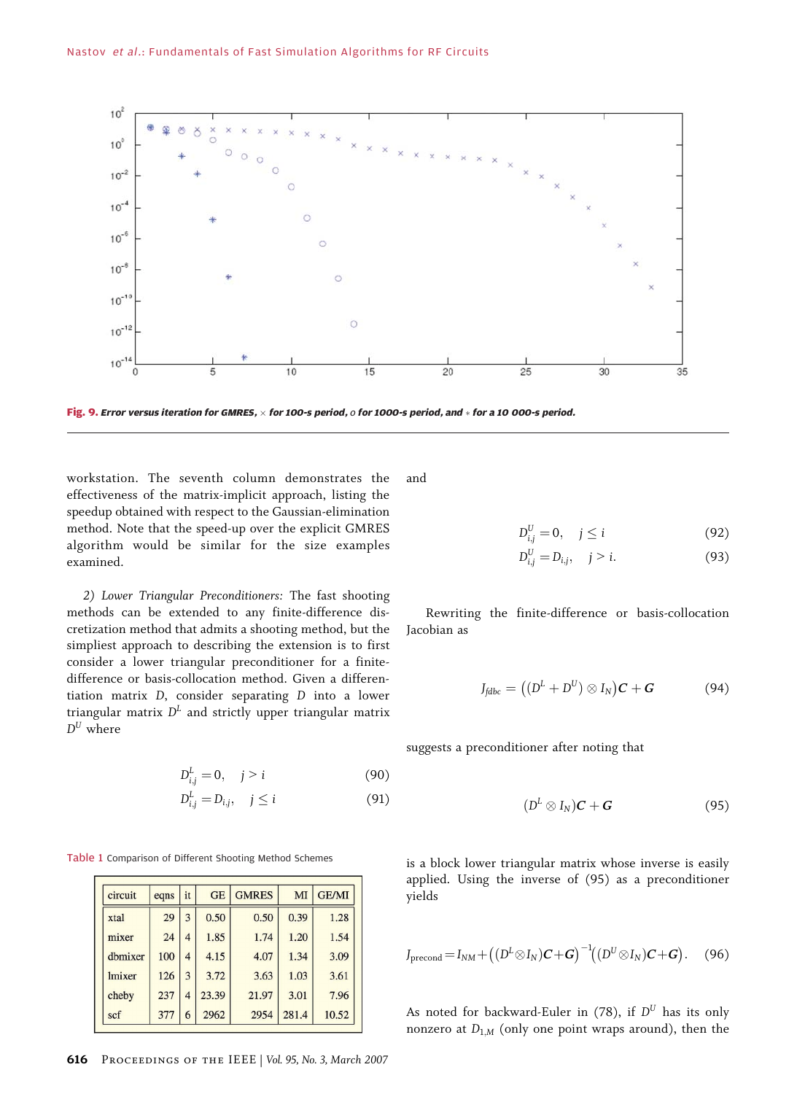

Fig. 9. Error versus iteration for GMRES,  $\times$  for 100-s period,  $o$  for 1000-s period, and  $*$  for a 10 000-s period.

workstation. The seventh column demonstrates the effectiveness of the matrix-implicit approach, listing the speedup obtained with respect to the Gaussian-elimination method. Note that the speed-up over the explicit GMRES algorithm would be similar for the size examples examined.

2) Lower Triangular Preconditioners: The fast shooting methods can be extended to any finite-difference discretization method that admits a shooting method, but the simpliest approach to describing the extension is to first consider a lower triangular preconditioner for a finitedifference or basis-collocation method. Given a differentiation matrix D, consider separating D into a lower triangular matrix  $D<sup>L</sup>$  and strictly upper triangular matrix  $D^U$  where

$$
D_{i,j}^{L} = 0, \quad j > i \tag{90}
$$

$$
D_{i,j}^L = D_{i,j}, \quad j \leq i \tag{91}
$$

Table 1 Comparison of Different Shooting Method Schemes

| circuit | eqns | it             | <b>GE</b> | <b>GMRES</b> | MI    | <b>GE/MI</b> |
|---------|------|----------------|-----------|--------------|-------|--------------|
| xtal    | 29   | 3              | 0.50      | 0.50         | 0.39  | 1.28         |
| mixer   | 24   | 4              | 1.85      | 1.74         | 1.20  | 1.54         |
| dhmixer | 100  | $\overline{4}$ | 4.15      | 4.07         | 1.34  | 3.09         |
| lmixer  | 126  | 3              | 3.72      | 3.63         | 1.03  | 3.61         |
| cheby   | 237  | 4              | 23.39     | 21.97        | 3.01  | 7.96         |
| scf     | 377  | 6              | 2962      | 2954         | 281.4 | 10.52        |

616 Proceedings of the IEEE | Vol. 95, No. 3, March 2007

and

$$
D_{i,j}^U = 0, \quad j \leq i \tag{92}
$$

$$
D_{i,j}^U = D_{i,j}, \quad j > i. \tag{93}
$$

Rewriting the finite-difference or basis-collocation Jacobian as

$$
J_{\text{fdbc}} = ((D^L + D^U) \otimes I_N)C + G \qquad (94)
$$

suggests a preconditioner after noting that

$$
(D^L \otimes I_N)C + G \qquad (95)
$$

is a block lower triangular matrix whose inverse is easily applied. Using the inverse of (95) as a preconditioner yields

$$
J_{\text{precond}} = I_{NM} + ((D^L \otimes I_N)C + G)^{-1}((D^U \otimes I_N)C + G).
$$
 (96)

As noted for backward-Euler in (78), if  $D^U$  has its only nonzero at  $D_{1,M}$  (only one point wraps around), then the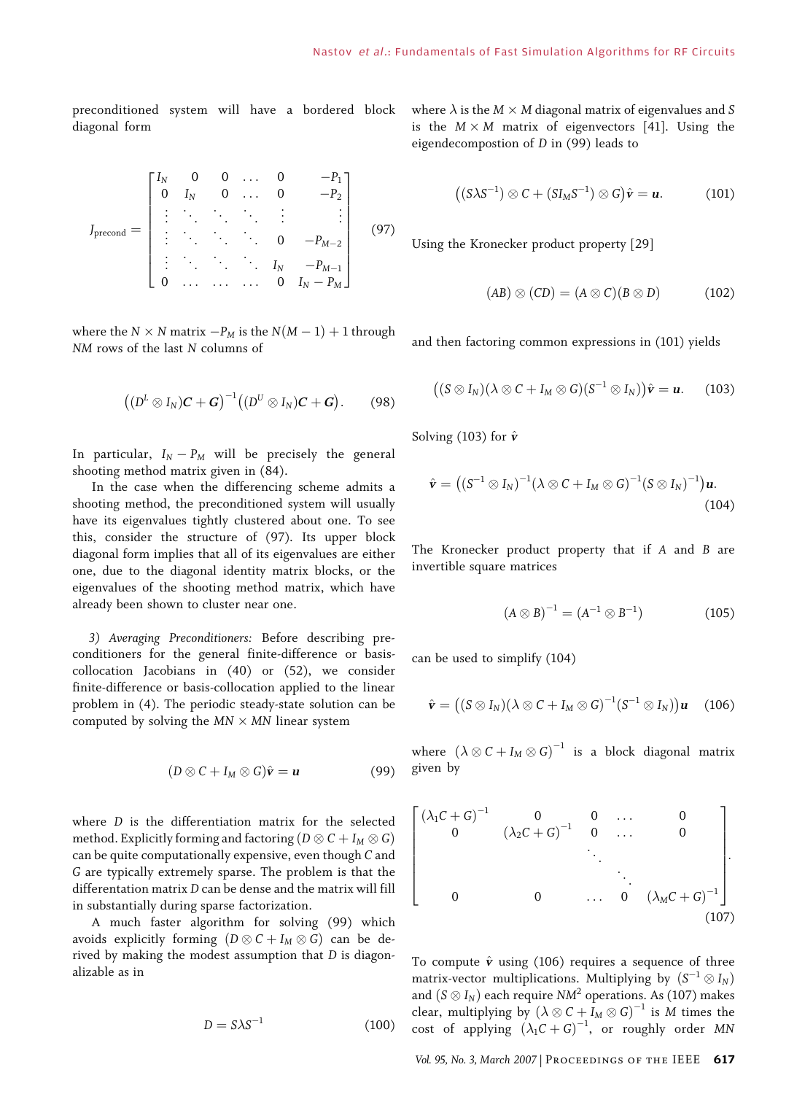preconditioned system will have a bordered block diagonal form

$$
J_{\text{precond}} = \begin{bmatrix} I_N & 0 & 0 & \dots & 0 & -P_1 \\ 0 & I_N & 0 & \dots & 0 & -P_2 \\ \vdots & \ddots & \ddots & \ddots & \vdots & \vdots \\ \vdots & \ddots & \ddots & \ddots & 0 & -P_{M-2} \\ \vdots & \ddots & \ddots & \ddots & I_N & -P_{M-1} \\ 0 & \dots & \dots & \dots & 0 & I_N - P_M \end{bmatrix}
$$
(97)

where the  $N \times N$  matrix  $-P_M$  is the  $N(M-1) + 1$  through NM rows of the last N columns of

$$
((DL \otimes IN)C + G)-1((DU \otimes IN)C + G).
$$
 (98)

In particular,  $I_N - P_M$  will be precisely the general shooting method matrix given in (84).

In the case when the differencing scheme admits a shooting method, the preconditioned system will usually have its eigenvalues tightly clustered about one. To see this, consider the structure of (97). Its upper block diagonal form implies that all of its eigenvalues are either one, due to the diagonal identity matrix blocks, or the eigenvalues of the shooting method matrix, which have already been shown to cluster near one.

3) Averaging Preconditioners: Before describing preconditioners for the general finite-difference or basiscollocation Jacobians in (40) or (52), we consider finite-difference or basis-collocation applied to the linear problem in (4). The periodic steady-state solution can be computed by solving the  $MN \times MN$  linear system

$$
(D \otimes C + I_M \otimes G)\hat{\mathbf{v}} = \mathbf{u}
$$
 (99)

where D is the differentiation matrix for the selected method. Explicitly forming and factoring  $(D \otimes C + I_M \otimes G)$ can be quite computationally expensive, even though C and G are typically extremely sparse. The problem is that the differentation matrix D can be dense and the matrix will fill in substantially during sparse factorization.

A much faster algorithm for solving (99) which avoids explicitly forming  $(D \otimes C + I_M \otimes G)$  can be derived by making the modest assumption that D is diagonalizable as in

$$
D = S\lambda S^{-1} \tag{100}
$$

where  $\lambda$  is the  $M \times M$  diagonal matrix of eigenvalues and S is the  $M \times M$  matrix of eigenvectors [41]. Using the eigendecompostion of D in (99) leads to

$$
((S\lambda S^{-1})\otimes C + (SIMS^{-1})\otimes G)\hat{\mathbf{v}} = \mathbf{u}.
$$
 (101)

Using the Kronecker product property [29]

$$
(AB) \otimes (CD) = (A \otimes C)(B \otimes D) \tag{102}
$$

and then factoring common expressions in (101) yields

$$
((S\otimes I_N)(\lambda\otimes C+I_M\otimes G)(S^{-1}\otimes I_N))\hat{\mathbf{v}}=\mathbf{u}.\qquad(103)
$$

Solving (103) for  $\hat{\mathbf{v}}$ 

$$
\hat{\mathbf{v}} = ((S^{-1} \otimes I_N)^{-1} (\lambda \otimes C + I_M \otimes G)^{-1} (S \otimes I_N)^{-1}) \mathbf{u}.
$$
\n(104)

The Kronecker product property that if A and B are invertible square matrices

$$
(A \otimes B)^{-1} = (A^{-1} \otimes B^{-1})
$$
 (105)

can be used to simplify (104)

$$
\hat{\mathbf{v}} = ((S \otimes I_N)(\lambda \otimes C + I_M \otimes G)^{-1}(S^{-1} \otimes I_N))\mathbf{u} \quad (106)
$$

where  $(\lambda \otimes C + I_M \otimes G)^{-1}$  is a block diagonal matrix given by

$$
\begin{bmatrix}\n(\lambda_1 C + G)^{-1} & 0 & 0 & \dots & 0 \\
0 & (\lambda_2 C + G)^{-1} & 0 & \dots & 0 \\
& & \ddots & & \\
& & & \ddots & \\
0 & 0 & \dots & 0 & (\lambda_M C + G)^{-1}\n\end{bmatrix}
$$
\n(107)

To compute  $\hat{v}$  using (106) requires a sequence of three matrix-vector multiplications. Multiplying by  $(S^{-1} \otimes I_N)$ and  $(S \otimes I_N)$  each require NM<sup>2</sup> operations. As (107) makes clear, multiplying by  $(\lambda \otimes C + I_M \otimes G)^{-1}$  is M times the cost of applying  $(\lambda_1 C + G)^{-1}$ , or roughly order MN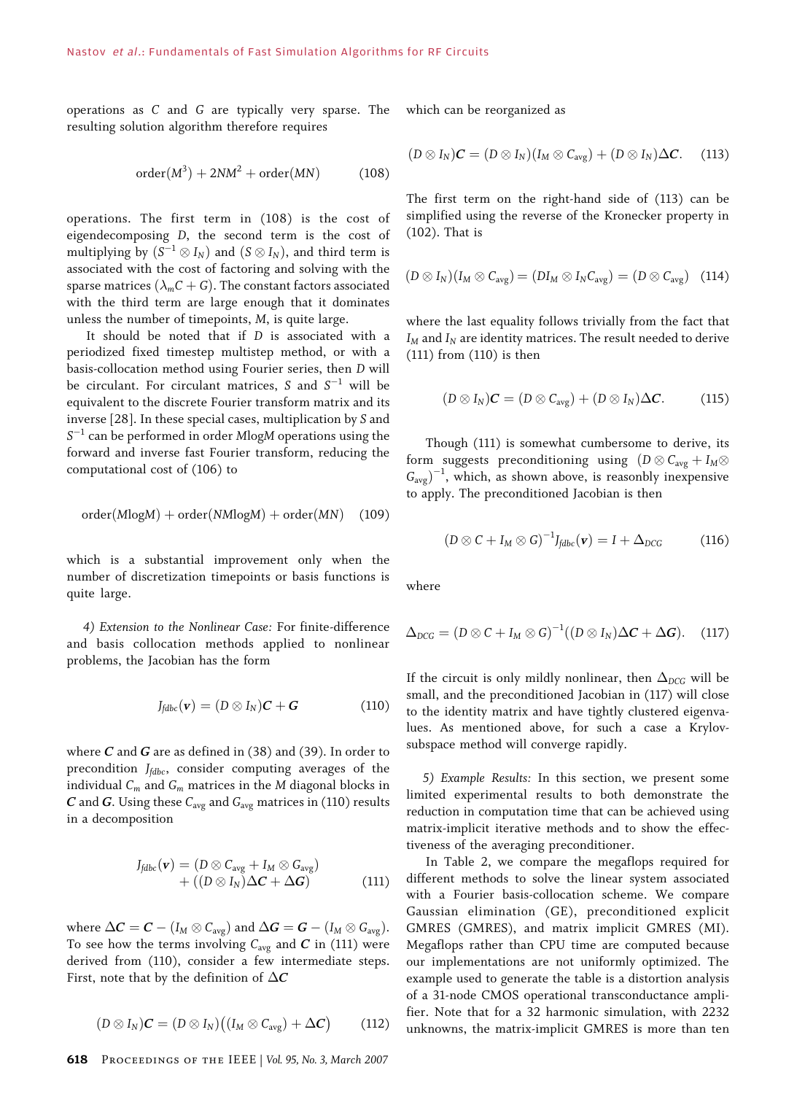operations as C and G are typically very sparse. The resulting solution algorithm therefore requires

$$
\operatorname{order}(M^3) + 2NM^2 + \operatorname{order}(MN) \tag{108}
$$

operations. The first term in (108) is the cost of eigendecomposing D, the second term is the cost of multiplying by  $(S^{-1} \otimes I_N)$  and  $(S \otimes I_N)$ , and third term is associated with the cost of factoring and solving with the sparse matrices  $(\lambda_m C + G)$ . The constant factors associated with the third term are large enough that it dominates unless the number of timepoints, M, is quite large.

It should be noted that if D is associated with a periodized fixed timestep multistep method, or with a basis-collocation method using Fourier series, then D will be circulant. For circulant matrices,  $S$  and  $S^{-1}$  will be equivalent to the discrete Fourier transform matrix and its inverse [28]. In these special cases, multiplication by S and  $S^{-1}$  can be performed in order MlogM operations using the forward and inverse fast Fourier transform, reducing the computational cost of (106) to

$$
order(MlogM) + order(NMlogM) + order(MN)
$$
 (109)

which is a substantial improvement only when the number of discretization timepoints or basis functions is quite large.

4) Extension to the Nonlinear Case: For finite-difference and basis collocation methods applied to nonlinear problems, the Jacobian has the form

$$
J_{\text{fdbc}}(\mathbf{v}) = (D \otimes I_N)\mathbf{C} + \mathbf{G} \tag{110}
$$

where  $C$  and  $G$  are as defined in (38) and (39). In order to precondition  $J_{\text{fdbc}}$ , consider computing averages of the individual  $C_m$  and  $G_m$  matrices in the M diagonal blocks in  $C$  and  $G$ . Using these  $C_{\text{avg}}$  and  $G_{\text{avg}}$  matrices in (110) results in a decomposition

$$
J_{\text{fdbc}}(\mathbf{v}) = (D \otimes C_{\text{avg}} + I_M \otimes G_{\text{avg}}) + ((D \otimes I_N) \Delta \mathbf{C} + \Delta \mathbf{G})
$$
(111)

where  $\Delta C = C - (I_M \otimes C_{\text{avg}})$  and  $\Delta G = G - (I_M \otimes G_{\text{avg}})$ . To see how the terms involving  $C_{\text{avg}}$  and  $C$  in (111) were derived from (110), consider a few intermediate steps. First, note that by the definition of  $\Delta C$ 

$$
(D \otimes I_N)\mathcal{C} = (D \otimes I_N)(I_M \otimes C_{avg}) + \Delta C) \tag{112}
$$

which can be reorganized as

$$
(D \otimes I_N)\mathcal{C} = (D \otimes I_N)(I_M \otimes C_{\text{avg}}) + (D \otimes I_N)\Delta\mathcal{C}.
$$
 (113)

The first term on the right-hand side of (113) can be simplified using the reverse of the Kronecker property in (102). That is

$$
(D \otimes I_N)(I_M \otimes C_{\text{avg}}) = (DI_M \otimes I_N C_{\text{avg}}) = (D \otimes C_{\text{avg}}) \quad (114)
$$

where the last equality follows trivially from the fact that  $I_M$  and  $I_N$  are identity matrices. The result needed to derive (111) from (110) is then

$$
(D \otimes I_N)\mathcal{C} = (D \otimes C_{\text{avg}}) + (D \otimes I_N)\Delta\mathcal{C}.
$$
 (115)

Though (111) is somewhat cumbersome to derive, its form suggests preconditioning using  $(D \otimes C_{avg} + I_M \otimes$  $(G_{avg})^{-1}$ , which, as shown above, is reasonbly inexpensive to apply. The preconditioned Jacobian is then

$$
(D \otimes C + I_M \otimes G)^{-1} J_{\text{fdbc}}(\mathbf{v}) = I + \Delta_{DCG} \tag{116}
$$

where

$$
\Delta_{DCG} = (D \otimes C + I_M \otimes G)^{-1}((D \otimes I_N)\Delta C + \Delta G). \quad (117)
$$

If the circuit is only mildly nonlinear, then  $\Delta_{DCG}$  will be small, and the preconditioned Jacobian in (117) will close to the identity matrix and have tightly clustered eigenvalues. As mentioned above, for such a case a Krylovsubspace method will converge rapidly.

5) Example Results: In this section, we present some limited experimental results to both demonstrate the reduction in computation time that can be achieved using matrix-implicit iterative methods and to show the effectiveness of the averaging preconditioner.

In Table 2, we compare the megaflops required for different methods to solve the linear system associated with a Fourier basis-collocation scheme. We compare Gaussian elimination (GE), preconditioned explicit GMRES (GMRES), and matrix implicit GMRES (MI). Megaflops rather than CPU time are computed because our implementations are not uniformly optimized. The example used to generate the table is a distortion analysis of a 31-node CMOS operational transconductance amplifier. Note that for a 32 harmonic simulation, with 2232 unknowns, the matrix-implicit GMRES is more than ten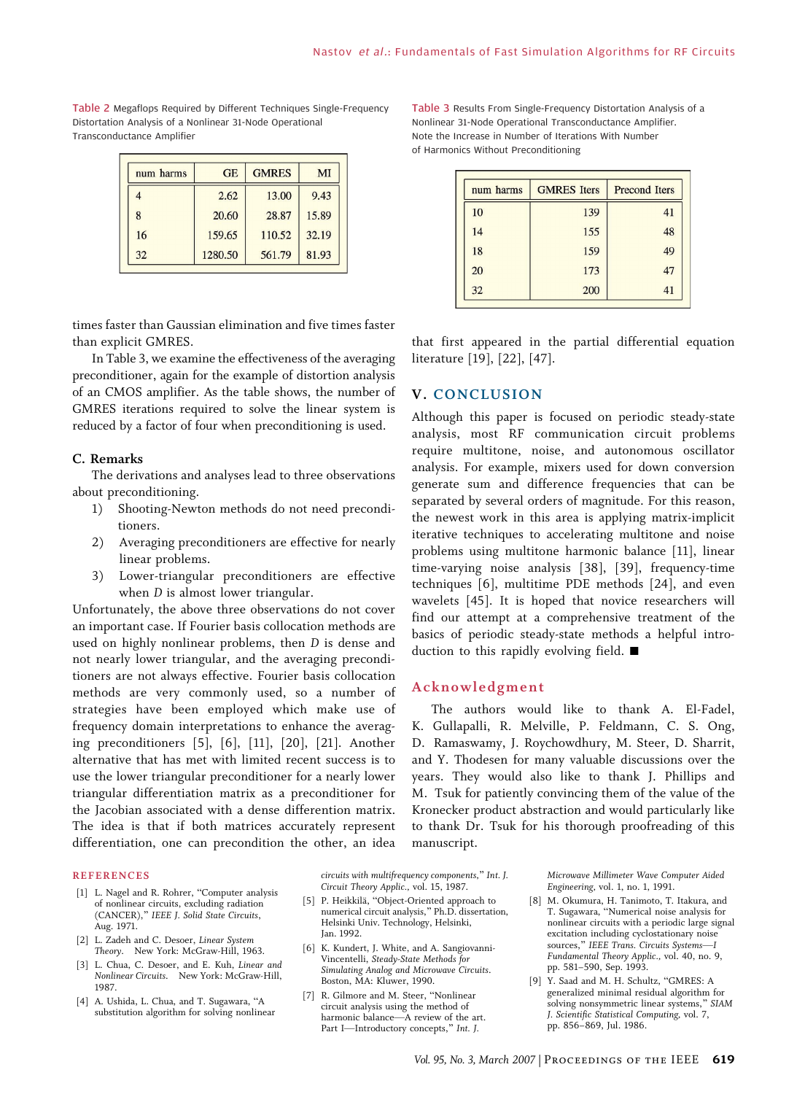Table 2 Megaflops Required by Different Techniques Single-Frequency Distortation Analysis of a Nonlinear 31-Node Operational Transconductance Amplifier

| num harms | <b>GE</b> | <b>GMRES</b> | MI    |
|-----------|-----------|--------------|-------|
| 4         | 2.62      | 13.00        | 9.43  |
| 8         | 20.60     | 28.87        | 15.89 |
| 16        | 159.65    | 110.52       | 32.19 |
| 32        | 1280.50   | 561.79       | 81.93 |

times faster than Gaussian elimination and five times faster than explicit GMRES.

In Table 3, we examine the effectiveness of the averaging preconditioner, again for the example of distortion analysis of an CMOS amplifier. As the table shows, the number of GMRES iterations required to solve the linear system is reduced by a factor of four when preconditioning is used.

#### C. Remarks

The derivations and analyses lead to three observations about preconditioning.

- 1) Shooting-Newton methods do not need preconditioners.
- 2) Averaging preconditioners are effective for nearly linear problems.
- 3) Lower-triangular preconditioners are effective when *D* is almost lower triangular.

Unfortunately, the above three observations do not cover an important case. If Fourier basis collocation methods are used on highly nonlinear problems, then D is dense and not nearly lower triangular, and the averaging preconditioners are not always effective. Fourier basis collocation methods are very commonly used, so a number of strategies have been employed which make use of frequency domain interpretations to enhance the averaging preconditioners [5], [6], [11], [20], [21]. Another alternative that has met with limited recent success is to use the lower triangular preconditioner for a nearly lower triangular differentiation matrix as a preconditioner for the Jacobian associated with a dense differention matrix. The idea is that if both matrices accurately represent differentiation, one can precondition the other, an idea

#### **REFERENCES**

- [1] L. Nagel and R. Rohrer, "Computer analysis of nonlinear circuits, excluding radiation (CANCER)," IEEE J. Solid State Circuits, Aug. 1971.
- [2] L. Zadeh and C. Desoer, Linear System Theory. New York: McGraw-Hill, 1963.
- [3] L. Chua, C. Desoer, and E. Kuh, Linear and Nonlinear Circuits. New York: McGraw-Hill, 1987.
- [4] A. Ushida, L. Chua, and T. Sugawara, "A substitution algorithm for solving nonlinear

circuits with multifrequency components," Int. J. Circuit Theory Applic., vol. 15, 1987.

- [5] P. Heikkilä, "Object-Oriented approach to numerical circuit analysis," Ph.D. dissertation, Helsinki Univ. Technology, Helsinki, Jan. 1992.
- [6] K. Kundert, J. White, and A. Sangiovanni-Vincentelli, Steady-State Methods for Simulating Analog and Microwave Circuits. Boston, MA: Kluwer, 1990.
- [7] R. Gilmore and M. Steer, "Nonlinear circuit analysis using the method of harmonic balance-A review of the art. Part I-Introductory concepts," Int. J.

Table 3 Results From Single-Frequency Distortation Analysis of a Nonlinear 31-Node Operational Transconductance Amplifier. Note the Increase in Number of Iterations With Number of Harmonics Without Preconditioning

| num harms | <b>GMRES</b> Iters | <b>Precond Iters</b> |  |
|-----------|--------------------|----------------------|--|
| 10        | 139                | 41                   |  |
| 14        | 155                | 48                   |  |
| 18        | 159                | 49                   |  |
| 20        | 173                | 47                   |  |
| 32        | 200                | 41                   |  |

that first appeared in the partial differential equation literature [19], [22], [47].

# V. CONCLUSION

Although this paper is focused on periodic steady-state analysis, most RF communication circuit problems require multitone, noise, and autonomous oscillator analysis. For example, mixers used for down conversion generate sum and difference frequencies that can be separated by several orders of magnitude. For this reason, the newest work in this area is applying matrix-implicit iterative techniques to accelerating multitone and noise problems using multitone harmonic balance [11], linear time-varying noise analysis [38], [39], frequency-time techniques [6], multitime PDE methods [24], and even wavelets [45]. It is hoped that novice researchers will find our attempt at a comprehensive treatment of the basics of periodic steady-state methods a helpful introduction to this rapidly evolving field.  $\blacksquare$ 

# Acknowledgment

The authors would like to thank A. El-Fadel, K. Gullapalli, R. Melville, P. Feldmann, C. S. Ong, D. Ramaswamy, J. Roychowdhury, M. Steer, D. Sharrit, and Y. Thodesen for many valuable discussions over the years. They would also like to thank J. Phillips and M. Tsuk for patiently convincing them of the value of the Kronecker product abstraction and would particularly like to thank Dr. Tsuk for his thorough proofreading of this manuscript.

> Microwave Millimeter Wave Computer Aided Engineering, vol. 1, no. 1, 1991.

- [8] M. Okumura, H. Tanimoto, T. Itakura, and T. Sugawara, "Numerical noise analysis for nonlinear circuits with a periodic large signal excitation including cyclostationary noise sources," IEEE Trans. Circuits Systems-I Fundamental Theory Applic., vol. 40, no. 9, pp. 581–590, Sep. 1993.
- [9] Y. Saad and M. H. Schultz, "GMRES: A generalized minimal residual algorithm for solving nonsymmetric linear systems," SIAM J. Scientific Statistical Computing, vol. 7, pp. 856–869, Jul. 1986.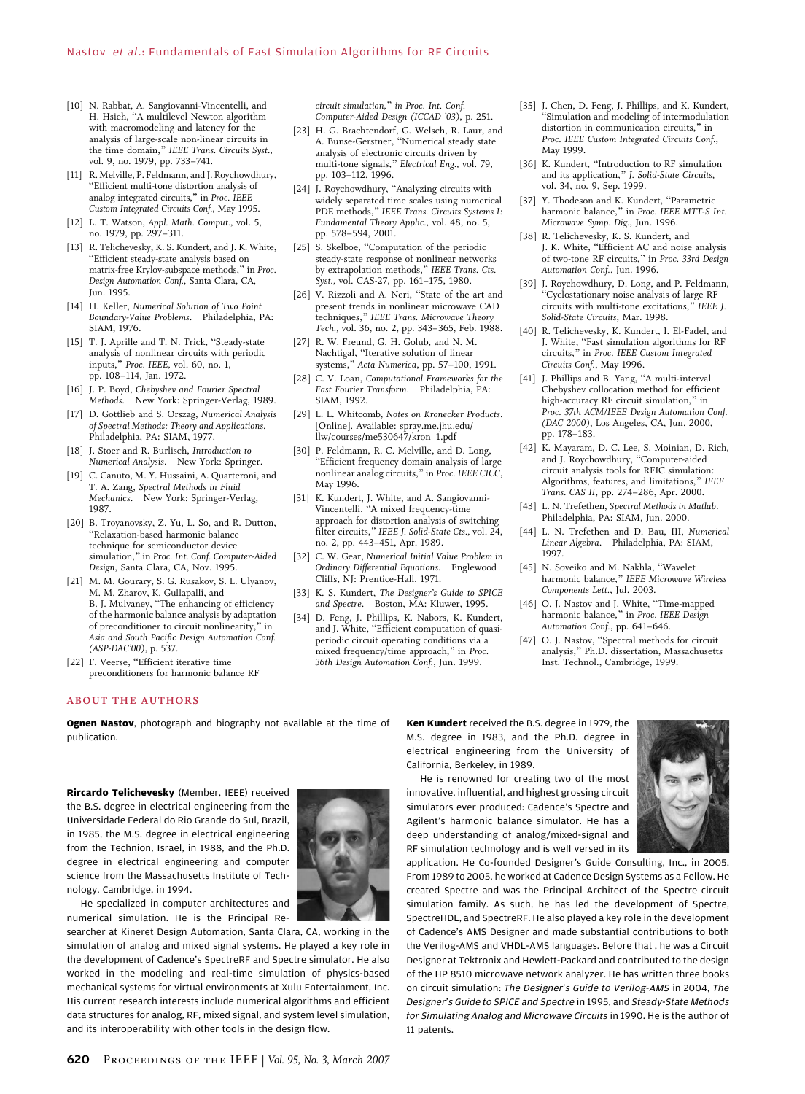- [10] N. Rabbat, A. Sangiovanni-Vincentelli, and H. Hsieh, "A multilevel Newton algorithm with macromodeling and latency for the analysis of large-scale non-linear circuits in the time domain," IEEE Trans. Circuits Syst., vol. 9, no. 1979, pp. 733–741.
- [11] R. Melville, P. Feldmann, and J. Roychowdhury, BEfficient multi-tone distortion analysis of analog integrated circuits," in Proc. IEEE Custom Integrated Circuits Conf., May 1995.
- [12] L. T. Watson, Appl. Math. Comput., vol. 5, no. 1979, pp. 297–311.
- [13] R. Telichevesky, K. S. Kundert, and J. K. White, BEfficient steady-state analysis based on matrix-free Krylov-subspace methods," in Proc. Design Automation Conf., Santa Clara, CA, Jun. 1995.
- [14] H. Keller, Numerical Solution of Two Point Boundary-Value Problems. Philadelphia, PA: SIAM, 1976.
- [15] T. J. Aprille and T. N. Trick, "Steady-state analysis of nonlinear circuits with periodic inputs," Proc. IEEE, vol. 60, no. 1, pp. 108–114, Jan. 1972.
- [16] J. P. Boyd, Chebyshev and Fourier Spectral Methods. New York: Springer-Verlag, 1989.
- [17] D. Gottlieb and S. Orszag, Numerical Analysis of Spectral Methods: Theory and Applications. Philadelphia, PA: SIAM, 1977.
- [18] J. Stoer and R. Burlisch, Introduction to Numerical Analysis. New York: Springer.
- [19] C. Canuto, M. Y. Hussaini, A. Quarteroni, and T. A. Zang, Spectral Methods in Fluid Mechanics. New York: Springer-Verlag, 1987.
- [20] B. Troyanovsky, Z. Yu, L. So, and R. Dutton, "Relaxation-based harmonic balance technique for semiconductor device simulation," in Proc. Int. Conf. Computer-Aided Design, Santa Clara, CA, Nov. 1995.
- [21] M. M. Gourary, S. G. Rusakov, S. L. Ulyanov, M. M. Zharov, K. Gullapalli, and<br>B. J. Mulvaney, ''The enhancing of efficiency of the harmonic balance analysis by adaptation of preconditioner to circuit nonlinearity, Asia and South Pacific Design Automation Conf. (ASP-DAC'00), p. 537.
- [22] F. Veerse, "Efficient iterative time preconditioners for harmonic balance RF

**ABOUT THE AUTHORS** 

Ognen Nastov, photograph and biography not available at the time of publication.

Rircardo Telichevesky (Member, IEEE) received the B.S. degree in electrical engineering from the Universidade Federal do Rio Grande do Sul, Brazil, in 1985, the M.S. degree in electrical engineering from the Technion, Israel, in 1988, and the Ph.D. degree in electrical engineering and computer science from the Massachusetts Institute of Technology, Cambridge, in 1994.



He specialized in computer architectures and numerical simulation. He is the Principal Re-

searcher at Kineret Design Automation, Santa Clara, CA, working in the simulation of analog and mixed signal systems. He played a key role in the development of Cadence's SpectreRF and Spectre simulator. He also worked in the modeling and real-time simulation of physics-based mechanical systems for virtual environments at Xulu Entertainment, Inc. His current research interests include numerical algorithms and efficient data structures for analog, RF, mixed signal, and system level simulation, and its interoperability with other tools in the design flow.

circuit simulation," in Proc. Int. Conf. Computer-Aided Design (ICCAD '03), p. 251.

- [23] H. G. Brachtendorf, G. Welsch, R. Laur, and A. Bunse-Gerstner, "Numerical steady state analysis of electronic circuits driven by multi-tone signals," Electrical Eng., vol. 79, pp. 103–112, 1996.
- [24] J. Roychowdhury, "Analyzing circuits with widely separated time scales using numerical PDE methods," IEEE Trans. Circuits Systems I: Fundamental Theory Applic., vol. 48, no. 5, pp. 578–594, 2001.
- [25] S. Skelboe, "Computation of the periodic steady-state response of nonlinear networks by extrapolation methods," IEEE Trans. Cts. Syst., vol. CAS-27, pp. 161–175, 1980.
- [26] V. Rizzoli and A. Neri, "State of the art and present trends in nonlinear microwave CAD techniques," IEEE Trans. Microwave Theory Tech., vol. 36, no. 2, pp. 343–365, Feb. 1988.
- [27] R. W. Freund, G. H. Golub, and N. M. Nachtigal, "Iterative solution of linear systems," Acta Numerica, pp. 57-100, 1991.
- [28] C. V. Loan, Computational Frameworks for the Fast Fourier Transform. Philadelphia, PA: SIAM, 1992.
- [29] L. L. Whitcomb, Notes on Kronecker Products. [Online]. Available: spray.me.jhu.edu/ llw/courses/me530647/kron\_1.pdf.
- [30] P. Feldmann, R. C. Melville, and D. Long, "Efficient frequency domain analysis of large nonlinear analog circuits," in Proc. IEEE CICC, May 1996.
- [31] K. Kundert, J. White, and A. Sangiovanni-Vincentelli, "A mixed frequency-time approach for distortion analysis of switching filter circuits," IEEE J. Solid-State Cts., vol. 24, no. 2, pp. 443–451, Apr. 1989.
- [32] C. W. Gear, Numerical Initial Value Problem in Ordinary Differential Equations. Englewood Cliffs, NJ: Prentice-Hall, 1971.
- [33] K. S. Kundert, The Designer's Guide to SPICE and Spectre. Boston, MA: Kluwer, 1995.
- [34] D. Feng, J. Phillips, K. Nabors, K. Kundert,<br>and J. White, "Efficient computation of quasiperiodic circuit operating conditions via a mixed frequency/time approach," in Proc. 36th Design Automation Conf., Jun. 1999.
- [35] J. Chen, D. Feng, J. Phillips, and K. Kundert, Simulation and modeling of intermodulation distortion in communication circuits," in Proc. IEEE Custom Integrated Circuits Conf., May 1999.
- [36] K. Kundert, "Introduction to RF simulation and its application," J. Solid-State Circuits, vol. 34, no. 9, Sep. 1999.
- [37] Y. Thodeson and K. Kundert, "Parametric harmonic balance," in Proc. IEEE MTT-S Int. Microwave Symp. Dig., Jun. 1996.
- [38] R. Telichevesky, K. S. Kundert, and J. K. White, "Efficient AC and noise analysis of two-tone RF circuits," in Proc. 33rd Design Automation Conf., Jun. 1996.
- [39] J. Roychowdhury, D. Long, and P. Feldmann, BCyclostationary noise analysis of large RF circuits with multi-tone excitations," IEEE J. Solid-State Circuits, Mar. 1998.
- [40] R. Telichevesky, K. Kundert, I. El-Fadel, and J. White, "Fast simulation algorithms for RF<br>circuits," in Proc. IEEE Custom Integrated Circuits Conf., May 1996.
- [41] J. Phillips and B. Yang, "A multi-interval Chebyshev collocation method for efficient high-accuracy RF circuit simulation," in Proc. 37th ACM/IEEE Design Automation Conf. (DAC 2000), Los Angeles, CA, Jun. 2000, pp. 178–183.
- [42] K. Mayaram, D. C. Lee, S. Moinian, D. Rich, and J. Roychowdhury, "Computer-aided circuit analysis tools for RFIC simulation: Algorithms, features, and limitations," IEEE Trans. CAS II, pp. 274–286, Apr. 2000.
- [43] L. N. Trefethen, Spectral Methods in Matlab. Philadelphia, PA: SIAM, Jun. 2000.
- [44] L. N. Trefethen and D. Bau, III, Numerical Linear Algebra. Philadelphia, PA: SIAM, 1997.
- [45] N. Soveiko and M. Nakhla, "Wavelet harmonic balance," IEEE Microwave Wireless Components Lett., Jul. 2003.
- [46] O. J. Nastov and J. White, "Time-mapped harmonic balance," in Proc. IEEE Design Automation Conf., pp. 641–646.
- [47] O. J. Nastov, "Spectral methods for circuit analysis," Ph.D. dissertation, Massachusetts Inst. Technol., Cambridge, 1999.

Ken Kundert received the B.S. degree in 1979, the M.S. degree in 1983, and the Ph.D. degree in electrical engineering from the University of California, Berkeley, in 1989.

He is renowned for creating two of the most innovative, influential, and highest grossing circuit simulators ever produced: Cadence's Spectre and Agilent's harmonic balance simulator. He has a deep understanding of analog/mixed-signal and RF simulation technology and is well versed in its



application. He Co-founded Designer's Guide Consulting, Inc., in 2005. From 1989 to 2005, he worked at Cadence Design Systems as a Fellow. He created Spectre and was the Principal Architect of the Spectre circuit simulation family. As such, he has led the development of Spectre, SpectreHDL, and SpectreRF. He also played a key role in the development of Cadence's AMS Designer and made substantial contributions to both the Verilog-AMS and VHDL-AMS languages. Before that , he was a Circuit Designer at Tektronix and Hewlett-Packard and contributed to the design of the HP 8510 microwave network analyzer. He has written three books on circuit simulation: The Designer's Guide to Verilog-AMS in 2004, The Designer's Guide to SPICE and Spectre in 1995, and Steady-State Methods for Simulating Analog and Microwave Circuits in 1990. He is the author of 11 patents.